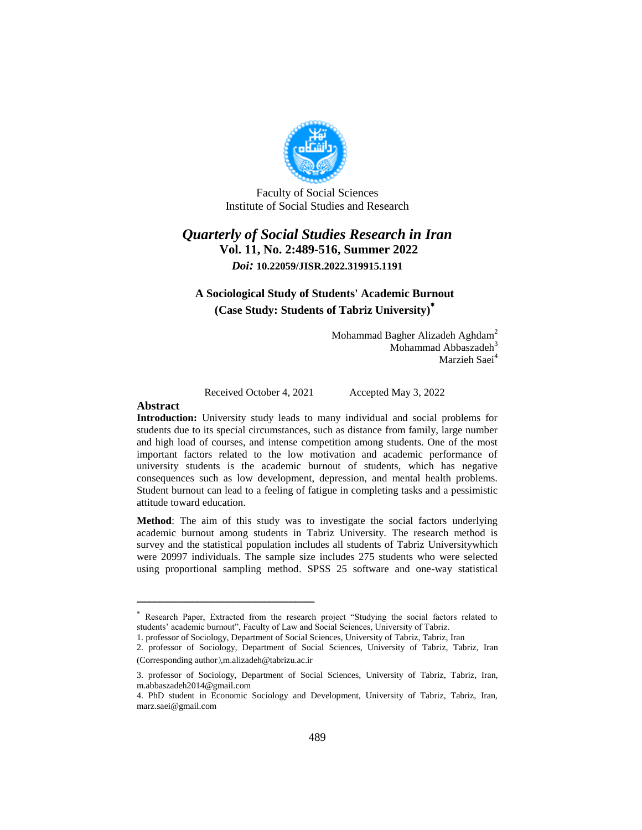

Faculty of Social Sciences Institute of Social Studies and Research

## *Quarterly of Social Studies Research in Iran* **Vol. 11, No. 2:489-516, Summer 2022** *Doi:* **10.22059/JISR.2022.319915.1191**

## **A Sociological Study of Students' Academic Burnout (Case Study: Students of Tabriz University)**

Mohammad Bagher Alizadeh Aghdam<sup>2</sup> Mohammad Abbaszadeh<sup>3</sup> Marzieh Saei<sup>4</sup>

Received October 4, 2021 Accepted May 3, 2022

ــــــــــــــــــــــــــــــــــــــــــــــــــــــــــــــــــــــــــــــــــــــــــــــــــــــــــــــــــــــــــــــــــــــــــــــــ

#### **Abstract**

**Introduction:** University study leads to many individual and social problems for students due to its special circumstances, such as distance from family, large number and high load of courses, and intense competition among students. One of the most important factors related to the low motivation and academic performance of university students is the academic burnout of students, which has negative consequences such as low development, depression, and mental health problems. Student burnout can lead to a feeling of fatigue in completing tasks and a pessimistic attitude toward education.

**Method**: The aim of this study was to investigate the social factors underlying academic burnout among students in Tabriz University. The research method is survey and the statistical population includes all students of Tabriz Universitywhich were 20997 individuals. The sample size includes 275 students who were selected using proportional sampling method. SPSS 25 software and one-way statistical

<sup>×</sup> Research Paper, Extracted from the research project "Studying the social factors related to students' academic burnout", Faculty of Law and Social Sciences, University of Tabriz.

<sup>1.</sup> professor of Sociology, Department of Social Sciences, University of Tabriz, Tabriz, Iran

<sup>2.</sup> professor of Sociology, Department of Social Sciences, University of Tabriz, Tabriz, Iran (Corresponding author), m.alizadeh@tabrizu.ac.ir

<sup>3.</sup> professor of Sociology, Department of Social Sciences, University of Tabriz, Tabriz, Iran, m.abbaszadeh2014@gmail.com

<sup>4.</sup> PhD student in Economic Sociology and Development, University of Tabriz, Tabriz, Iran, marz.saei@gmail.com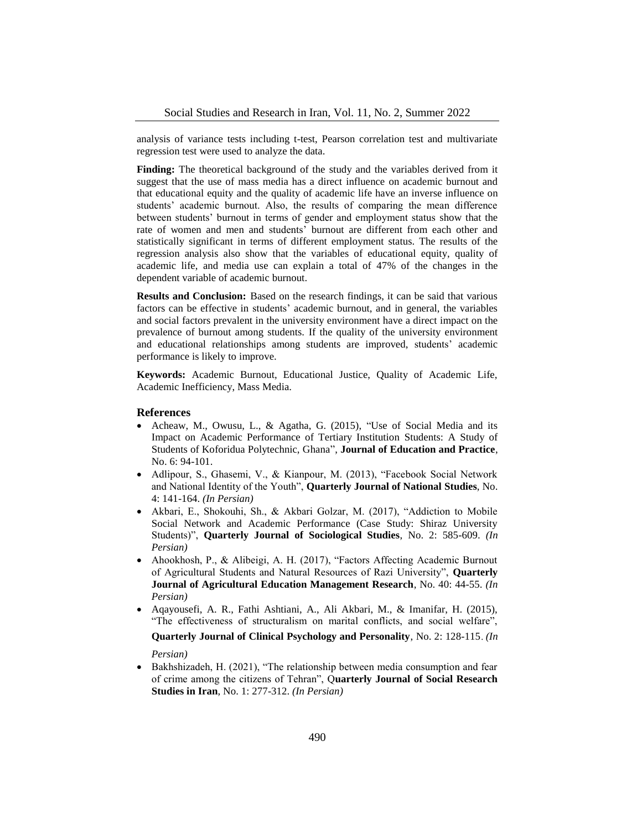analysis of variance tests including t-test, Pearson correlation test and multivariate regression test were used to analyze the data.

**Finding:** The theoretical background of the study and the variables derived from it suggest that the use of mass media has a direct influence on academic burnout and that educational equity and the quality of academic life have an inverse influence on students' academic burnout. Also, the results of comparing the mean difference between students' burnout in terms of gender and employment status show that the rate of women and men and students' burnout are different from each other and statistically significant in terms of different employment status. The results of the regression analysis also show that the variables of educational equity, quality of academic life, and media use can explain a total of 47% of the changes in the dependent variable of academic burnout.

**Results and Conclusion:** Based on the research findings, it can be said that various factors can be effective in students' academic burnout, and in general, the variables and social factors prevalent in the university environment have a direct impact on the prevalence of burnout among students. If the quality of the university environment and educational relationships among students are improved, students' academic performance is likely to improve.

**Keywords:** Academic Burnout, Educational Justice, Quality of Academic Life, Academic Inefficiency, Mass Media.

#### **References**

- Acheaw, M., Owusu, L., & Agatha, G. (2015), "Use of Social Media and its Impact on Academic Performance of Tertiary Institution Students: A Study of Students of Koforidua Polytechnic, Ghana", **Journal of Education and Practice**, No. 6: 94-101.
- Adlipour, S., Ghasemi, V., & Kianpour, M. (2013), "Facebook Social Network and National Identity of the Youth", **Quarterly Journal of National Studies**, No. 4: 141-164. *(In Persian)*
- Akbari, E., Shokouhi, Sh., & Akbari Golzar, M. (2017), "Addiction to Mobile Social Network and Academic Performance (Case Study: Shiraz University Students)", **Quarterly Journal of Sociological Studies**, No. 2: 585-609. *(In Persian)*
- Ahookhosh, P., & Alibeigi, A. H. (2017), "Factors Affecting Academic Burnout of Agricultural Students and Natural Resources of Razi University", **Quarterly Journal of Agricultural Education Management Research**, No. 40: 44-55. *(In Persian)*
- Aqayousefi, A. R., Fathi Ashtiani, A., Ali Akbari, M., & Imanifar, H. (2015), "The effectiveness of structuralism on marital conflicts, and social welfare",

**Quarterly Journal of Clinical Psychology and Personality**, No. 2: 128-115. *(In* 

#### *Persian)*

 Bakhshizadeh, H. (2021), "The relationship between media consumption and fear of crime among the citizens of Tehran", Q**uarterly Journal of Social Research Studies in Iran**, No. 1: 277-312. *(In Persian)*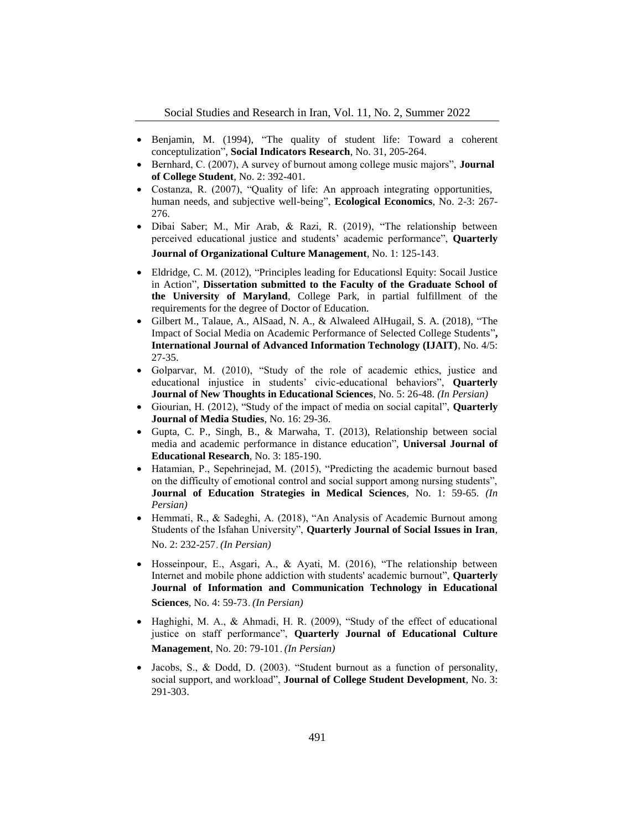- Benjamin, M. (1994), "The quality of student life: Toward a coherent conceptulization", **Social Indicators Research**, No. 31, 205-264.
- Bernhard, C. (2007), A survey of burnout among college music majors", **Journal of College Student**, No. 2: 392-401.
- Costanza, R. (2007), "Quality of life: An approach integrating opportunities, human needs, and subjective well-being", **Ecological Economics**, No. 2-3: 267- 276.
- Dibai Saber; M., Mir Arab, & Razi, R. (2019), "The relationship between perceived educational justice and students' academic performance", **Quarterly Journal of Organizational Culture Management**, No. 1: 125-143.
- Eldridge, C. M. (2012), "Principles leading for Educationsl Equity: Socail Justice in Action", **Dissertation submitted to the Faculty of the Graduate School of the University of Maryland**, College Park, in partial fulfillment of the requirements for the degree of Doctor of Education.
- Gilbert M., Talaue, A., AlSaad, N. A., & Alwaleed AlHugail, S. A. (2018), "The Impact of Social Media on Academic Performance of Selected College Students"**, International Journal of Advanced Information Technology (IJAIT)**, No. 4/5: 27-35.
- Golparvar, M. (2010), "Study of the role of academic ethics, justice and educational injustice in students' civic-educational behaviors", **Quarterly Journal of New Thoughts in Educational Sciences**, No. 5: 26-48. *(In Persian)*
- Giourian, H. (2012), "Study of the impact of media on social capital", **Quarterly Journal of Media Studies**, No. 16: 29-36.
- Gupta, C. P., Singh, B., & Marwaha, T. (2013), Relationship between social media and academic performance in distance education", **Universal Journal of Educational Research**, No. 3: 185-190.
- Hatamian, P., Sepehrinejad, M. (2015), "Predicting the academic burnout based on the difficulty of emotional control and social support among nursing students", **Journal of Education Strategies in Medical Sciences**, No. 1: 59-65. *(In Persian)*
- Hemmati, R., & Sadeghi, A. (2018), "An Analysis of Academic Burnout among Students of the Isfahan University", **Quarterly Journal of Social Issues in Iran**, No. 2: 232-257. *(In Persian)*
- Hosseinpour, E., Asgari, A., & Ayati, M. (2016), "The relationship between Internet and mobile phone addiction with students' academic burnout", **Quarterly Journal of Information and Communication Technology in Educational Sciences**, No. 4: 59-73. *(In Persian)*
- Haghighi, M. A., & Ahmadi, H. R. (2009), "Study of the effect of educational justice on staff performance", **Quarterly Journal of Educational Culture Management**, No. 20: 79-101. *(In Persian)*
- Jacobs, S., & Dodd, D. (2003). "Student burnout as a function of personality, social support, and workload", **Journal of College Student Development**, No. 3: 291-303.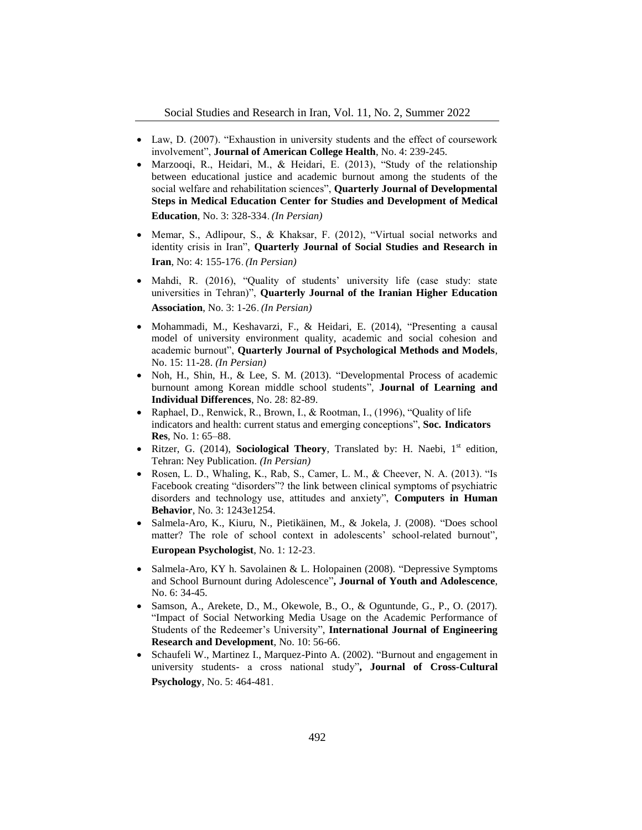- Law, D. (2007). "Exhaustion in university students and the effect of coursework involvement", **Journal of American College Health**, No. 4: 239-245.
- Marzooqi, R., Heidari, M., & Heidari, E. (2013), "Study of the relationship between educational justice and academic burnout among the students of the social welfare and rehabilitation sciences", **Quarterly Journal of Developmental Steps in Medical Education Center for Studies and Development of Medical Education**, No. 3: 328-334. *(In Persian)*
- Memar, S., Adlipour, S., & Khaksar, F. (2012), "Virtual social networks and identity crisis in Iran", **Quarterly Journal of Social Studies and Research in Iran**, No: 4: 155-176. *(In Persian)*
- Mahdi, R. (2016), "Quality of students' university life (case study: state universities in Tehran)", **Quarterly Journal of the Iranian Higher Education Association**, No. 3: 1-26. *(In Persian)*
- Mohammadi, M., Keshavarzi, F., & Heidari, E. (2014), "Presenting a causal model of university environment quality, academic and social cohesion and academic burnout", **Quarterly Journal of Psychological Methods and Models**, No. 15: 11-28. *(In Persian)*
- Noh, H., Shin, H., & Lee, S. M. (2013). "Developmental Process of academic burnount among Korean middle school students", **Journal of Learning and Individual Differences**, No. 28: 82-89.
- Raphael, D., Renwick, R., Brown, I., & Rootman, I., (1996), "Quality of life indicators and health: current status and emerging conceptions", **Soc. Indicators Res**, No. 1: 65–88.
- Ritzer, G. (2014), **Sociological Theory**, Translated by: H. Naebi, 1<sup>st</sup> edition, Tehran: Ney Publication. *(In Persian)*
- Rosen, L. D., Whaling, K., Rab, S., Camer, L. M., & Cheever, N. A. (2013). "Is Facebook creating "disorders"? the link between clinical symptoms of psychiatric disorders and technology use, attitudes and anxiety", **Computers in Human Behavior**, No. 3: 1243e1254.
- Salmela-Aro, K., Kiuru, N., Pietikäinen, M., & Jokela, J. (2008). "Does school matter? The role of school context in adolescents' school-related burnout", **European Psychologist**, No. 1: 12-23.
- Salmela-Aro, KY h. Savolainen & L. Holopainen (2008). "Depressive Symptoms and School Burnount during Adolescence"**, Journal of Youth and Adolescence**, No. 6: 34-45.
- Samson, A., Arekete, D., M., Okewole, B., O., & Oguntunde, G., P., O. (2017). "Impact of Social Networking Media Usage on the Academic Performance of Students of the Redeemer's University", **International Journal of Engineering Research and Development**, No. 10: 56-66.
- Schaufeli W., Martinez I., Marquez-Pinto A. (2002). "Burnout and engagement in university students- a cross national study"**, Journal of Cross-Cultural Psychology**, No. 5: 464-481.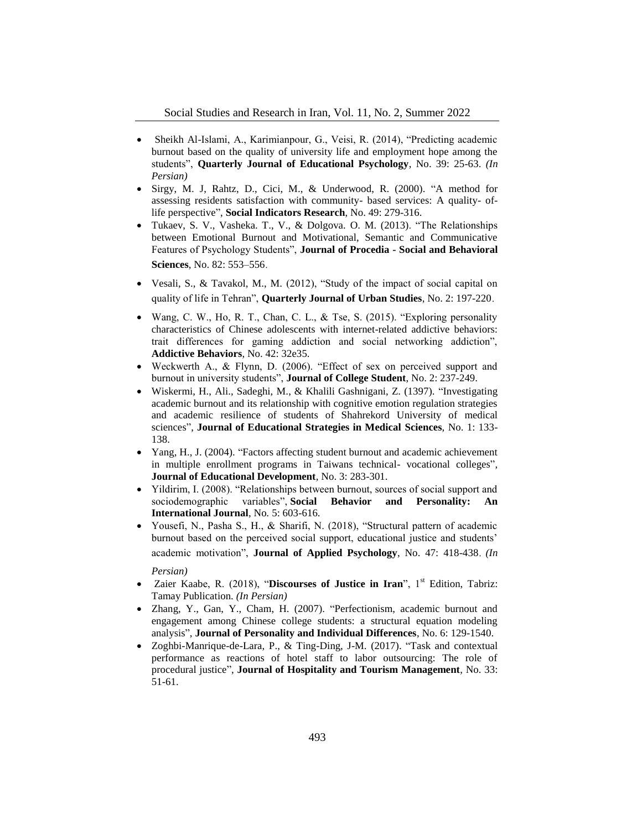- Sheikh Al-Islami, A., Karimianpour, G., Veisi, R. (2014), "Predicting academic burnout based on the quality of university life and employment hope among the students", **Quarterly Journal of Educational Psychology**, No. 39: 25-63. *(In Persian)*
- Sirgy, M. J, Rahtz, D., Cici, M., & Underwood, R. (2000). "A method for assessing residents satisfaction with community- based services: A quality- oflife perspective", **Social Indicators Research**, No. 49: 279-316.
- Tukaev, S. V., Vasheka. T., V., & Dolgova. O. M. (2013). "The Relationships between Emotional Burnout and Motivational, Semantic and Communicative Features of Psychology Students", **Journal of Procedia - Social and Behavioral Sciences**, No. 82: 553–556.
- Vesali, S., & Tavakol, M., M. (2012), "Study of the impact of social capital on quality of life in Tehran", **Quarterly Journal of Urban Studies**, No. 2: 197-220.
- Wang, C. W., Ho, R. T., Chan, C. L., & Tse, S. (2015). "Exploring personality characteristics of Chinese adolescents with internet-related addictive behaviors: trait differences for gaming addiction and social networking addiction", **Addictive Behaviors**, No. 42: 32e35.
- Weckwerth A., & Flynn, D. (2006). "Effect of sex on perceived support and burnout in university students", **Journal of College Student**, No. 2: 237-249.
- Wiskermi, H., Ali., Sadeghi, M., & Khalili Gashnigani, Z. (1397). "Investigating academic burnout and its relationship with cognitive emotion regulation strategies and academic resilience of students of Shahrekord University of medical sciences", **Journal of Educational Strategies in Medical Sciences**, No. 1: 133- 138.
- Yang, H., J. (2004). "Factors affecting student burnout and academic achievement in multiple enrollment programs in Taiwans technical- vocational colleges", **Journal of Educational Development**, No. 3: 283-301.
- Yildirim, I. (2008). "Relationships between burnout, sources of social support and sociodemographic variables", **Social Behavior and Personality: An International Journal**, No*.* 5: 603-616.
- Yousefi, N., Pasha S., H., & Sharifi, N. (2018), "Structural pattern of academic burnout based on the perceived social support, educational justice and students' academic motivation", **Journal of Applied Psychology**, No. 47: 418-438. *(In Persian)*
- Zaier Kaabe, R. (2018), "Discourses of Justice in Iran", 1<sup>st</sup> Edition, Tabriz: Tamay Publication. *(In Persian)*
- Zhang, Y., Gan, Y., Cham, H. (2007). "Perfectionism, academic burnout and engagement among Chinese college students: a structural equation modeling analysis", **Journal of Personality and Individual Differences**, No. 6: 129-1540.
- Zoghbi-Manrique-de-Lara, P., & Ting-Ding, J-M. (2017). "Task and contextual performance as reactions of hotel staff to labor outsourcing: The role of procedural justice", **Journal of Hospitality and Tourism Management**, No. 33: 51-61.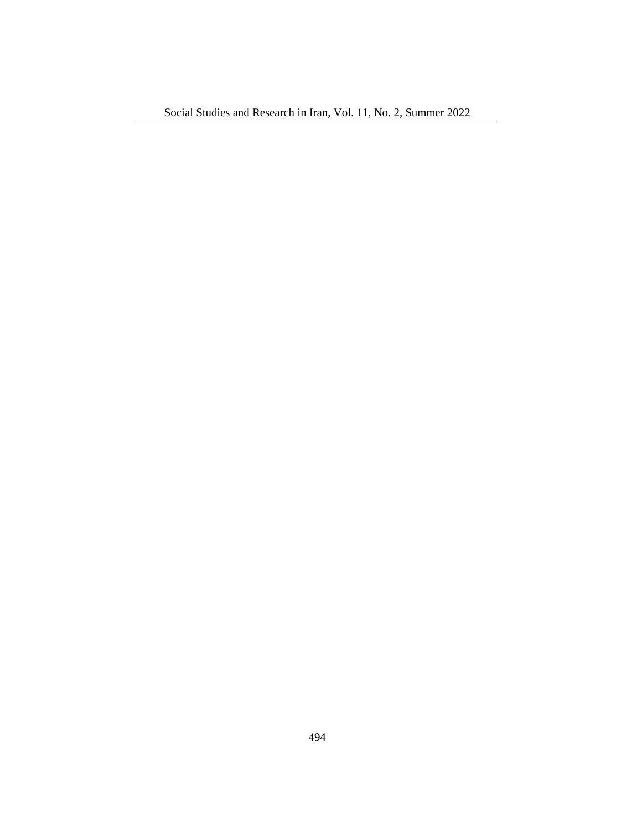Social Studies and Research in Iran, Vol. 11, No. 2, Summer 2022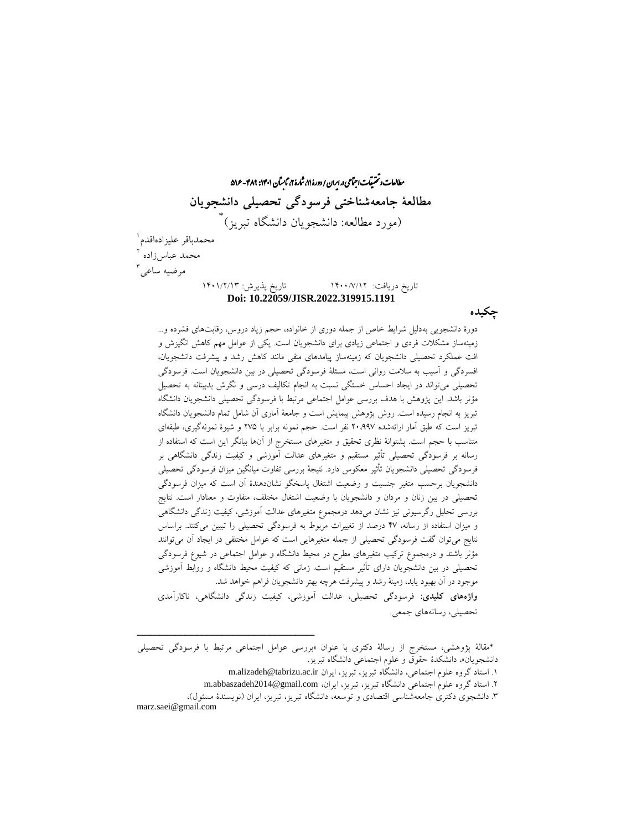رالعات و تحقیقات اجتماعی د.ابران / دورهٔ ۱۱، شارهٔ ۲، مابسآن ۱۴۰۱: ۴۸۹-۱۶۶ ما ش **مطالعۀ جامعهشناختی فرسودگی تحصیلی دانشجویان**  \* )مورد مطالعه: دانشجویان دانشگاه تبریز( 1 محمدباقر علیزادهاقدم 2 محمد عباسزاده مرضیه ساعی آ تاریخ دریافت: 1400/7/12 تاریخ پذیرش: 1401/2/13 **Doi: 10.22059/JISR.2022.319915.1191**

**چکیده**

دورۀ دانشجویی بهدلیل شرایط خاص از جمله دوری از خانواده، حجم زیاد دروس، رقابتهای فشرده و... زمینهساز مشکالت فردی و اجتماعی زیادی برای دانشجویان است. یکی از عوامل مهم کاهش انگیزش و افت عملکرد تحصیلی دانشجویان که زمینهساز پیامدهای منفی مانند کاهش رشد و پیشرفت دانشجویان، افسردگی و آسیب به سالمت روانی است، مسئلۀ فرسودگی تحصیلی در بین دانشجویان است. فرسودگی تحصیلی میتواند در ایجاد احساس خستگی نسبت به انجام تکالیف درسی و نگرش بدبینانه به تحصیل مؤثر باشد. این پژوهش با هدف بررسی عوامل اجتماعی مرتبط با فرسودگی تحصیلی دانشجویان دانشگاه تبریز به انجام رسیده است. روش پژوهش پیمایش است و جامعۀ آماری آن شامل تمام دانشجویان دانشگاه تبریز است که طبق آمار ارائهشده 20،997 نفر است. حجم نمونه برابر با 275 و شیوۀ نمونهگیری، طبقهای متناسب با حجم است. پشتوانۀ نظری تحقیق و متغیرهای مستخرج از آنها بیانگر این است که استفاده از رسانه بر فرسودگی تحصیلی تأثیر مستقیم و متغیرهای عدالت آموزشی و کیفیت زندگی دانشگاهی بر فرسودگی تحصیلی دانشجویان تأثیر معکوس دارد. نتیجۀ بررسی تفاوت میانگین میزان فرسودگی تحصیلی دانشجویان برحسب متغیر جنسیت و وضعیت اشتغال پاسخگو نشاندهندۀ آن است که میزان فرسودگی تحصیلی در بین زنان و مردان و دانشجویان با وضعیت اشتغال مختلف، متفاوت و معنادار است. نتایج بررسی تحلیل رگرسیونی نیز نشان میدهد درمجموع متغیرهای عدالت آموزشی، کیفیت زندگی دانشگاهی و میزان استفاده از رسانه، 47 درصد از تغییرات مربوط به فرسودگی تحصیلی را تبیین میکنند. براساس نتایج میتوان گفت فرسودگی تحصیلی از جمله متغیرهایی است که عوامل مختلفی در ایجاد آن میتوانند مؤثر باشند و درمجموع ترکیب متغیرهای مطرح در محیط دانشگاه و عوامل اجتماعی در شیوع فرسودگی تحصیلی در بین دانشجویان دارای تأثیر مستقیم است. زمانی که کیفیت محیط دانشگاه و روابط آموزشی موجود در آن بهبود یابد، زمینۀ رشد و پیشرفت هرچه بهتر دانشجویان فراهم خواهد شد. **واژههای کلیدی:** فرسودگی تحصیلی، عدالت آموزشی، کیفیت زندگی دانشگاهی، ناکارآمدی تحصیلی، رسانههای جمعی.

<sup>\*</sup>مقالۀ پژوهشی، مستخرج از رسالۀ دکتری با عنوان »بررسی عوامل اجتماعی مرتبط با فرسودگی تحصیلی دانشجویان»، دانشکدۀ حقوقّ و علوم اجتماعی دانشگاه تبریز.

۱. استاد گروه علوم اجتماعی، دانشگاه تبریز، تبریز، ایران m.alizadeh@tabrizu.ac.ir

۲. استاد گروه علوم اجتماعی دانشگاه تبریز، تبریز، ایران، m.abbaszadeh2014@gmail.com

<sup>.3</sup> دانشجوی دکتری جامعهشناسی اقتصادی و توسعه، دانشگاه تبریز، تبریز، ایران )نویسندۀ مسئول(،

marz.saei@gmail.com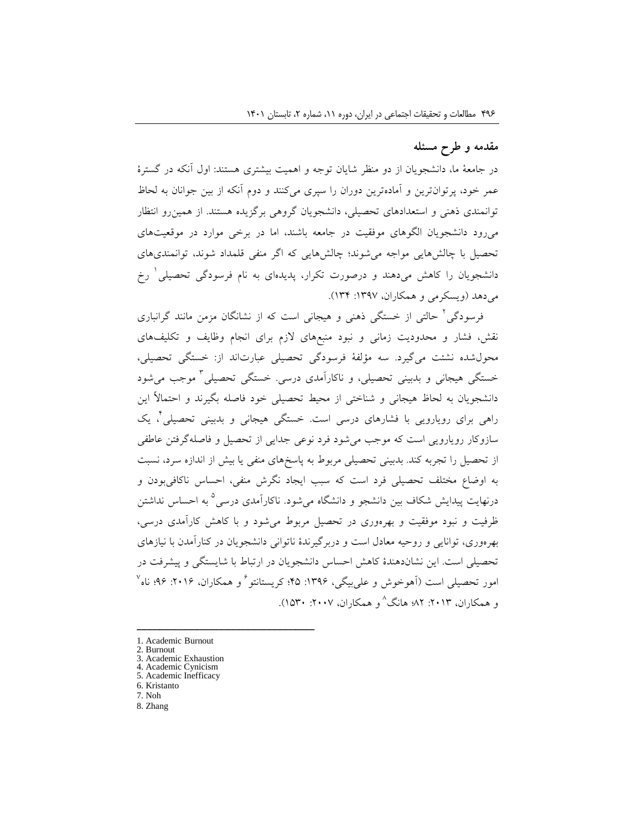## **مقدمه و طرح مسئله**

در جامعۀ ما، دانشجویان از دو منظر شایان توجه و اهمیت بیشتری هستند: اول آنکه در گسترۀ عمر خود، پرتوانترین و آمادهترین دوران را سپری میکنند و دوم آنکه از بین جوانان به لحاظ توانمندی ذهنی و استعدادهای تحصیلی، دانشجویان گروهی برگزیده هستند. از همینرو انتظار میرود دانشجویان الگوهای موفقیت در جامعه باشند، اما در برخی موارد در موقعیتهای تحصیل با چالشهایی مواجه میشوند؛ چالشهایی که اگر منفی قلمداد شوند، توانمندیهای دانشجویان را کاهش میدهند و درصورت تکرار، پدیدهای به نام فرسودگی تحصیلی ٰ رخ می دهد (ویسکرمی و همکاران، ۱۳۹۷: ۱۳۴).

فرسودگی<sup>1</sup> حالتی از خستگی ذهنی و هیجانی است که از نشانگان مزمن مانند گرانباری نقش، فشار و محدودیت زمانی و نبود منبعهای الزم برای انجام وظایف و تکلیفهای محولشده نشئت میگیرد. سه مؤلفۀ فرسودگی تحصیلی عبارتاند از: خستگی تحصیلی، خستگی هیجانی و بدبینی تحصیلی، و ناکارآمدی درسی. خستگی تحصیلی<sup>۲</sup> موجب میشود دانشجویان به لحاظ هیجانی و شناختی از محیط تحصیلی خود فاصله بگیرند و احتماالً این راهی برای رویارویی با فشارهای درسی است. خستگی هیجانی و بدبینی تحصیلی ٔ، یک سازوکار رویارویی است که موجب میشود فرد نوعی جدایی از تحصیل و فاصلهگرفتن عاطفی از تحصیل را تجربه کند. بدبینی تحصیلی مربوط به پاسخهای منفی یا بیش از اندازه سرد، نسبت به اوضاع مختلف تحصیلی فرد است که سبب ایجاد نگرش منفی، احساس ناکافیبودن و درنهایت پیدایش شکاف بین دانشجو و دانشگاه میشود. ناکارآمدی درسی<sup>0</sup> به احساس نداشتن ظرفیت و نبود موفقیت و بهرهوری در تحصیل مربوط میشود و با کاهش کارآمدی درسی، بهرهوری، توانایی و روحیه معادل است و دربرگیرندۀ ناتوانی دانشجویان در کنارآمدن با نیازهای تحصیلی است. این نشاندهندۀ کاهش احساس دانشجویان در ارتباط با شایستگی و پیشرفت در مور تحصیلی است (اَهوخوش و علیبیگی، ۱۳۹۶: ۴۵؛ کریستانتو<sup>۲</sup> و همکاران، ۲۰۱۶: ۹۶؛ ناه<sup>۷</sup> و همکاران، ۲۰۱۳: ۸۲؛ هانگ<sup>^</sup> و همکاران، ۲۰۰۷: ۱۵۳۰).

- 7. Noh
- 8. Zhang

<sup>1.</sup> Academic Burnout

<sup>2.</sup> Burnout

<sup>3.</sup> Academic Exhaustion 4. Academic Cynicism

<sup>5.</sup> Academic Inefficacy

<sup>6.</sup> Kristanto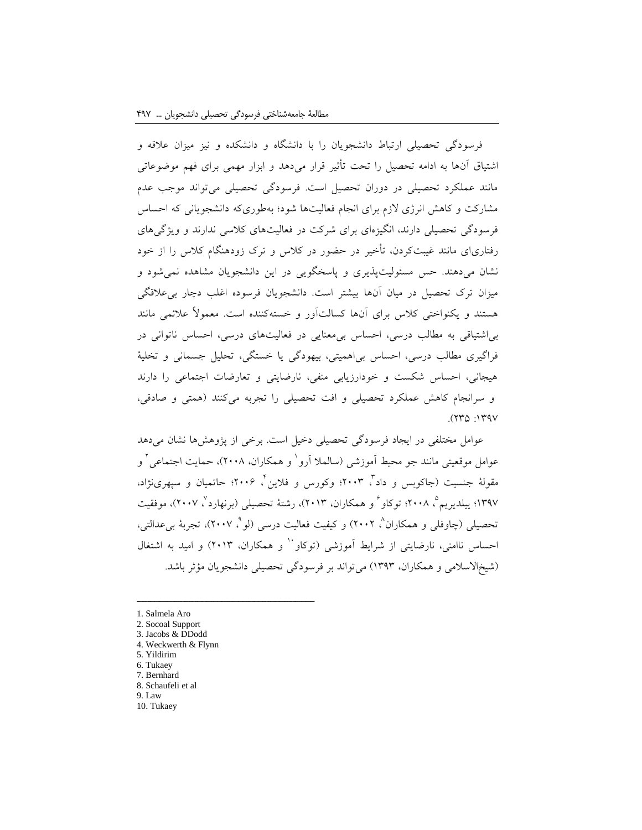فرسودگی تحصیلی ارتباط دانشجویان را با دانشگاه و دانشکده و نیز میزان عالقه و اشتیاق آنها به ادامه تحصیل را تحت تأثیر قرار میدهد و ابزار مهمی برای فهم موضوعاتی مانند عملکرد تحصیلی در دوران تحصیل است. فرسودگی تحصیلی میتواند موجب عدم مشارکت و کاهش انرژی الزم برای انجام فعالیتها شود؛ بهطوریکه دانشجویانی که احساس فرسودگی تحصیلی دارند، انگیزهای برای شرکت در فعالیتهای کالسی ندارند و ویژگیهای رفتاریای مانند غیبتکردن، تأخیر در حضور در کالس و ترک زودهنگام کالس را از خود نشان میدهند. حس مسئولیتپذیری و پاسخگویی در این دانشجویان مشاهده نمیشود و میزان ترک تحصیل در میان آنها بیشتر است. دانشجویان فرسوده اغلب دچار بیعالقگی هستند و یکنواختی کالس برای آنها کسالتآور و خستهکننده است. معموالً عالئمی مانند بیاشتیاقی به مطالب درسی، احساس بیمعنایی در فعالیتهای درسی، احساس ناتوانی در فراگیری مطالب درسی، احساس بیاهمیتی، بیهودگی یا خستگی، تحلیل جسمانی و تخلیۀ هیجانی، احساس شکست و خودارزیابی منفی، نارضایتی و تعارضات اجتماعی را دارند و سرانجام کاهش عملکرد تحصیلی و افت تحصیلی را تجربه میکنند )همتی و صادقی، ١٣٩٧: ٢٣٥).

عوامل مختلفی در ایجاد فرسودگی تحصیلی دخیل است. برخی از پژوهشها نشان میدهد عوامل موقعیتی مانند جو محیط اَموزشی (سالملا اَرو` و همکاران، ۲۰۰۸)، حمایت اجتماعی` و مقولۀ جنسیت (جاکوبس و داد"، ۲۰۰۳؛ وکورس و فلاین''، ۲۰۰۶؛ حاتمیان و سپهرینژاد، ۱۳۹۷؛ ییلدیریم°، ۲۰۰۸؛ توکاو<sup>۶</sup> و همکاران، ۲۰۱۳)، رشتۀ تحصیلی (برنهارد<sup>۷</sup>، ۲۰۰۷)، موفقیت نحصیلی (چاوفلی و همکاران^، ۲۰۰۲) و کیفیت فعالیت درسی (لو°، ۲۰۰۷)، تجربۀ بیءدالتی، احساس ناامنی، نارضایتی از شرایط آموزشی (توکاو`` و همکاران، ۲۰۱۳) و امید به اشتغال )شیخاالسالمی و همکاران، 1393( میتواند بر فرسودگی تحصیلی دانشجویان مؤثر باشد.

- 1. Salmela Aro
- 2. Socoal Support
- 3. Jacobs & DDodd
- 4. Weckwerth & Flynn 5. Yildirim

- 6. Tukaey
- 7. Bernhard
- 8. Schaufeli et al
- 9. Law
- 10. Tukaey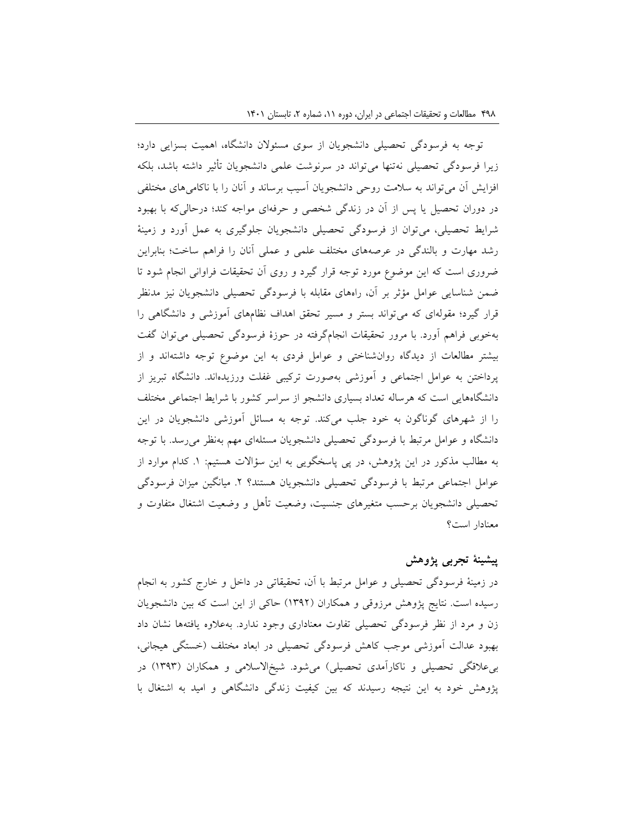توجه به فرسودگی تحصیلی دانشجویان از سوی مسئوالن دانشگاه، اهمیت بسزایی دارد؛ زیرا فرسودگی تحصیلی نهتنها میتواند در سرنوشت علمی دانشجویان تأثیر داشته باشد، بلکه افزایش آن میتواند به سالمت روحی دانشجویان آسیب برساند و آنان را با ناکامیهای مختلفی در دوران تحصیل یا پس از آن در زندگی شخصی و حرفهای مواجه کند؛ درحالیکه با بهبود شرایط تحصیلی، میتوان از فرسودگی تحصیلی دانشجویان جلوگیری به عمل آورد و زمینۀ رشد مهارت و بالندگی در عرصههای مختلف علمی و عملی آنان را فراهم ساخت؛ بنابراین ضروری است که این موضوع مورد توجه قرار گیرد و روی آن تحقیقات فراوانی انجام شود تا ضمن شناسایی عوامل مؤثر بر آن، راههای مقابله با فرسودگی تحصیلی دانشجویان نیز مدنظر قرار گیرد؛ مقولهای که میتواند بستر و مسیر تحقق اهداف نظامهای آموزشی و دانشگاهی را بهخوبی فراهم آورد. با مرور تحقیقات انجامگرفته در حوزۀ فرسودگی تحصیلی میتوان گفت بیشتر مطالعات از دیدگاه روانشناختی و عوامل فردی به این موضوع توجه داشتهاند و از پرداختن به عوامل اجتماعی و آموزشی بهصورت ترکیبی غفلت ورزیدهاند. دانشگاه تبریز از دانشگاههایی است که هرساله تعداد بسیاری دانشجو از سراسر کشور با شرایط اجتماعی مختلف را از شهرهای گوناگون به خود جلب میکند. توجه به مسائل آموزشی دانشجویان در این دانشگاه و عوامل مرتبط با فرسودگی تحصیلی دانشجویان مسئلهای مهم بهنظر میرسد. با توجه به مطالب مذکور در این پژوهش، در پی پاسخگویی به این سؤاالت هستیم: .1 کدام موارد از عوامل اجتماعی مرتبط با فرسودگی تحصیلی دانشجویان هستند؟ ۲. میانگین میزان فرسودگی تحصیلی دانشجویان برحسب متغیرهای جنسیت، وضعیت تأهل و وضعیت اشتغال متفاوت و معنادار است؟

## **پیشینۀ تجربی پژوهش**

در زمینۀ فرسودگی تحصیلی و عوامل مرتبط با آن، تحقیقاتی در داخل و خارج کشور به انجام رسیده است. نتایج پژوهش مرزوقی و همکاران )1392( حاکی از این است که بین دانشجویان زن و مرد از نظر فرسودگی تحصیلی تفاوت معناداری وجود ندارد. بهعالوه یافتهها نشان داد بهبود عدالت آموزشی موجب کاهش فرسودگی تحصیلی در ابعاد مختلف )خستگی هیجانی، بیعالقگی تحصیلی و ناکارآمدی تحصیلی( میشود. شیخاالسالمی و همکاران )1393( در پژوهش خود به این نتیجه رسیدند که بین کیفیت زندگی دانشگاهی و امید به اشتغال با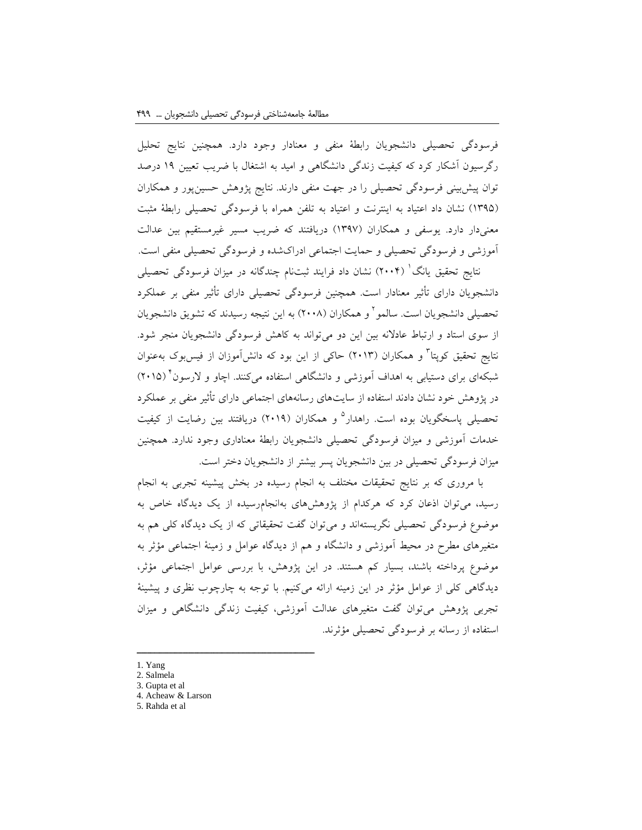فرسودگی تحصیلی دانشجویان رابطۀ منفی و معنادار وجود دارد. همچنین نتایج تحلیل رگرسیون آشکار کرد که کیفیت زندگی دانشگاهی و امید به اشتغال با ضریب تعیین 19 درصد توان پیشبینی فرسودگی تحصیلی را در جهت منفی دارند. نتایج پژوهش حسینپور و همکاران )1395( نشان داد اعتیاد به اینترنت و اعتیاد به تلفن همراه با فرسودگی تحصیلی رابطۀ مثبت معنیدار دارد. یوسفی و همکاران )1397( دریافتند که ضریب مسیر غیرمستقیم بین عدالت آموزشی و فرسودگی تحصیلی و حمایت اجتماعی ادراکشده و فرسودگی تحصیلی منفی است.

نتایج تحقیق یانگ<sup>۱</sup> (۲۰۰۴) نشان داد فرایند ثبتنام چندگانه در میزان فرسودگ*ی* تحصیلی دانشجویان دارای تأثیر معنادار است. همچنین فرسودگی تحصیلی دارای تأثیر منفی بر عملکرد نحصیلی دانشجویان است. سالمو ٔ و همکاران (۲۰۰۸) به این نتیجه رسیدند که تشویق دانشجویان از سوی استاد و ارتباط عادالنه بین این دو میتواند به کاهش فرسودگی دانشجویان منجر شود. نتایج تحقیق کوپتا<sup>۲</sup> و همکاران (۲۰۱۳) حاک<sub>ی</sub> از این بود که دانشآموزان از فیسبوک بهعنوان شبکهای برای دستیابی به اهداف آموزشی و دانشگاهی استفاده میکنند. اچاو و لارسون (۲۰۱۵) در پژوهش خود نشان دادند استفاده از سایتهای رسانههای اجتماعی دارای تأثیر منفی بر عملکرد نحصیلی پاسخگویان بوده است. راهدار<sup>۵</sup> و همکاران (۲۰۱۹) دریافتند بین رضایت از کیفیت خدمات آموزشی و میزان فرسودگی تحصیلی دانشجویان رابطۀ معناداری وجود ندارد. همچنین میزان فرسودگی تحصیلی در بین دانشجویان پسر بیشتر از دانشجویان دختر است.

با مروری که بر نتایج تحقیقات مختلف به انجام رسیده در بخش پیشینه تجربی به انجام رسید، میتوان اذعان کرد که هرکدام از پژوهشهای بهانجامرسیده از یک دیدگاه خاص به موضوع فرسودگی تحصیلی نگریستهاند و میتوان گفت تحقیقاتی که از یک دیدگاه کلی هم به متغیرهای مطرح در محیط آموزشی و دانشگاه و هم از دیدگاه عوامل و زمینۀ اجتماعی مؤثر به موضوع پرداخته باشند، بسیار کم هستند. در این پژوهش، با بررسی عوامل اجتماعی مؤثر، دیدگاهی کلی از عوامل مؤثر در این زمینه ارائه میکنیم. با توجه به چارچوب نظری و پیشینۀ تجربی پژوهش میتوان گفت متغیرهای عدالت آموزشی، کیفیت زندگی دانشگاهی و میزان استفاده از رسانه بر فرسودگی تحصیلی مؤثرند.

- 1. Yang
- 2. Salmela
- 3. Gupta et al
- 4. Acheaw & Larson

ــــــــــــــــــــــــــــــــــــــــــــــــــــــــــــــــــــــــــــــــــــــــــــــــــــــــــــــــــــــــــــــــــــــــــــــــ

5. Rahda et al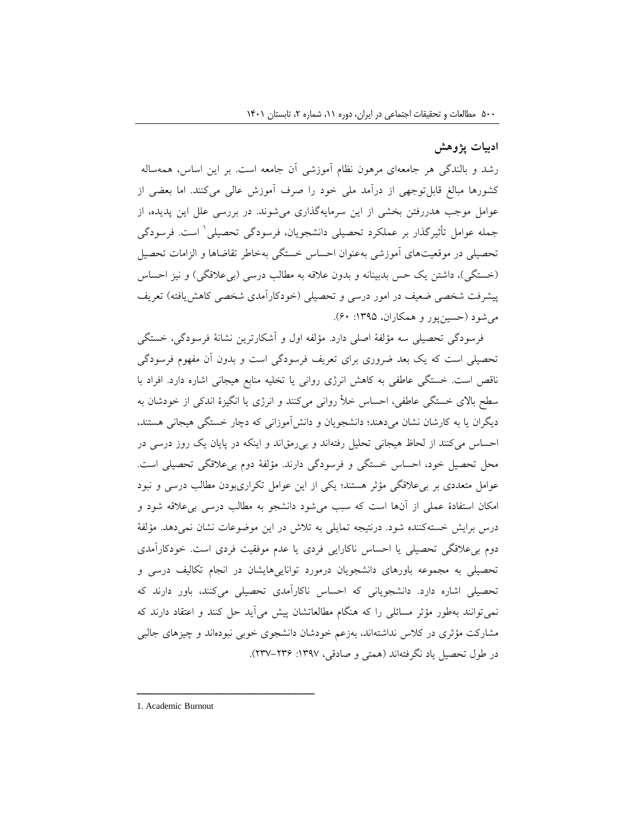## **ادبیات پژوهش**

رشد و بالندگی هر جامعهای مرهون نظام آموزشی آن جامعه است. بر این اساس، همهساله کشورها مبالغ قابلتوجهی از درآمد ملی خود را صرف آموزش عالی میکنند. اما بعضی از عوامل موجب هدررفتن بخشی از این سرمایهگذاری میشوند. در بررسی علل این پدیده، از 1 جمله عوامل تأثیرگذار بر عملکرد تحصیلی دانشجویان، فرسودگی تحصیلی است. فرسودگی تحصیلی در موقعیتهای آموزشی بهعنوان احساس خستگی بهخاطر تقاضاها و الزامات تحصیل (خستگی)، داشتن یک حس بدبینانه و بدون علاقه به مطالب درسی (بی علاقگی) و نیز احساس پیشرفت شخصی ضعیف در امور درسی و تحصیلی (خودکارآمدی شخصی کاهش یافته) تعریف می شود (حسین پور و همکاران، ۱۳۹۵: ۶۰).

فرسودگی تحصیلی سه مؤلفۀ اصلی دارد. مؤلفه اول و آشکارترین نشانۀ فرسودگی، خستگی تحصیلی است که یک بعد ضروری برای تعریف فرسودگی است و بدون آن مفهوم فرسودگی ناقص است. خستگی عاطفی به کاهش انرژی روانی یا تخلیه منابع هیجانی اشاره دارد. افراد با سطح بالای خستگی عاطفی، احساس خلأ روانی میکنند و انرژی یا انگیزۀ اندکی از خودشان به دیگران یا به کارشان نشان میدهند؛ دانشجویان و دانشآموزانی که دچار خستگی هیجانی هستند، احساس میکنند از لحاظ هیجانی تحلیل رفتهاند و بیرمقاند و اینکه در پایان یک روز درسی در محل تحصیل خود، احساس خستگی و فرسودگی دارند. مؤلفۀ دوم بیعالقگی تحصیلی است. عوامل متعددی بر بیعالقگی مؤثر هستند؛ یکی از این عوامل تکراریبودن مطالب درسی و نبود امکان استفادۀ عملی از آنها است که سبب میشود دانشجو به مطالب درسی بیعالقه شود و درس برایش خستهکننده شود. درنتیجه تمایلی به تالش در این موضوعات نشان نمیدهد. مؤلفۀ دوم بیعالقگی تحصیلی یا احساس ناکارایی فردی یا عدم موفقیت فردی است. خودکارآمدی تحصیلی به مجموعه باورهای دانشجویان درمورد تواناییهایشان در انجام تکالیف درسی و تحصیلی اشاره دارد. دانشجویانی که احساس ناکارآمدی تحصیلی میکنند، باور دارند که نمیتوانند بهطور مؤثر مسائلی را که هنگام مطالعاتشان پیش میآید حل کنند و اعتقاد دارند که مشارکت مؤثری در کالس نداشتهاند، بهزعم خودشان دانشجوی خوبی نبودهاند و چیزهای جالبی در طول تحصیل یاد نگرفتهاند (همتی و صادقی، ۱۳۹۷: ۲۳۶–۲۳۷).

<sup>1.</sup> Academic Burnout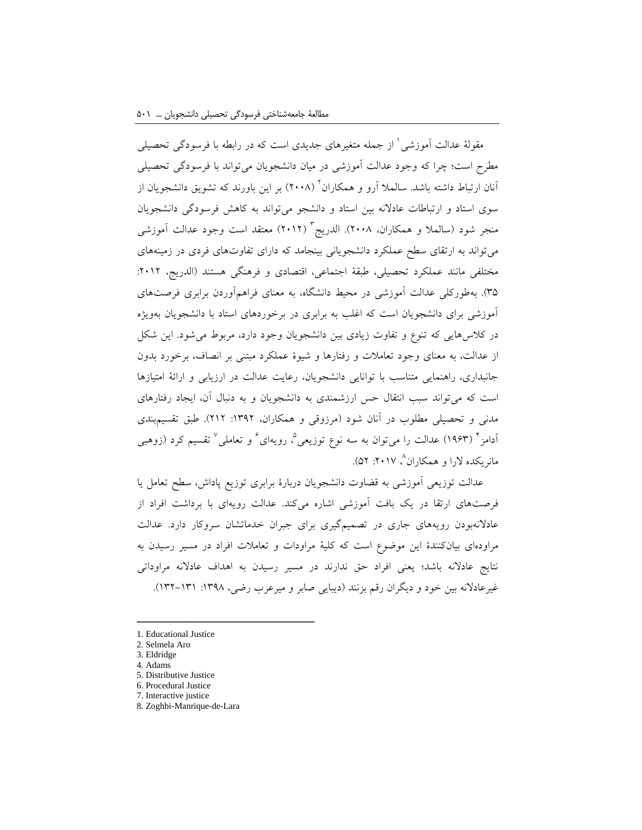مقولۀ عدالت اَموزشی ٰ از جمله متغیرهای جدیدی است که در رابطه با فرسودگی تحصیل<sub>ی</sub> مطرح است؛ چرا که وجود عدالت آموزشی در میان دانشجویان میتواند با فرسودگی تحصیلی 2 آنان ارتباط داشته باشد. سالمال آرو و همکاران )2008( بر این باورند که تشویق دانشجویان از سوی استاد و ارتباطات عادالنه بین استاد و دانشجو میتواند به کاهش فرسودگی دانشجویان منجر شود (سالملا و همکاران، ۲۰۰۸). الدریج ٔ (۲۰۱۲) معتقد است وجود عدالت آموزشی میتواند به ارتقای سطح عملکرد دانشجویانی بینجامد که دارای تفاوتهای فردی در زمینههای مختلفی مانند عملکرد تحصیلی، طبقۀ اجتماعی، اقتصادی و فرهنگی هستند )الدریج، :2012 35(. بهطورکلی عدالت آموزشی در محیط دانشگاه، به معنای فراهمآوردن برابری فرصتهای آموزشی برای دانشجویان است که اغلب به برابری در برخوردهای استاد با دانشجویان بهویژه در کالسهایی که تنوع و تفاوت زیادی بین دانشجویان وجود دارد، مربوط میشود. این شکل از عدالت، به معنای وجود تعامالت و رفتارها و شیوۀ عملکرد مبتنی بر انصاف، برخورد بدون جانبداری، راهنمایی متناسب با توانایی دانشجویان، رعایت عدالت در ارزیابی و ارائۀ امتیازها است که میتواند سبب انتقال حس ارزشمندی به دانشجویان و به دنبال آن، ایجاد رفتارهای مدنی و تحصیلی مطلوب در آنان شود )مرزوقی و همکاران، :1392 212(. طبق تقسیمبندی ادامز<sup>۲</sup> (۱۹۶۳) عدالت را می $\,$ توان به سه نوع توزیعی $\,$ ، رویهای $\,$  و تعاملی $\,$  تقسیم کرد (زوهبی مانریکده لارا و همکاران^، ۲۰۱۷: ۵۲).

عدالت توزیعی آموزشی به قضاوت دانشجویان دربارۀ برابری توزیع پاداش، سطح تعامل یا فرصتهای ارتقا در یک بافت آموزشی اشاره میکند. عدالت رویهای با برداشت افراد از عادالنهبودن رویههای جاری در تصمیمگیری برای جبران خدماتشان سروکار دارد. عدالت مراودهای بیانکنندۀ این موضوع است که کلیۀ مراودات و تعامالت افراد در مسیر رسیدن به نتایج عادالنه باشد؛ یعنی افراد حق ندارند در مسیر رسیدن به اهداف عادالنه مراوداتی غیرعادلانه بین خود و دیگران رقم بزنند (دیبایی صابر و میرعرب رضی، ۱۳۹۸: ۱۳۱–۱۳۲).

ــــــــــــــــــــــــــــــــــــــــــــــــــــــــــــــــــــــــــــــــــــــــــــــــــــــــــــــــــــــــــــــــــــــــــــــــ

5. Distributive Justice 6. Procedural Justice

<sup>1.</sup> Educational Justice

<sup>2.</sup> Selmela Aro

<sup>3.</sup> Eldridge 4. Adams

<sup>7.</sup> Interactive justice

<sup>8.</sup> Zoghbi-Manrique-de-Lara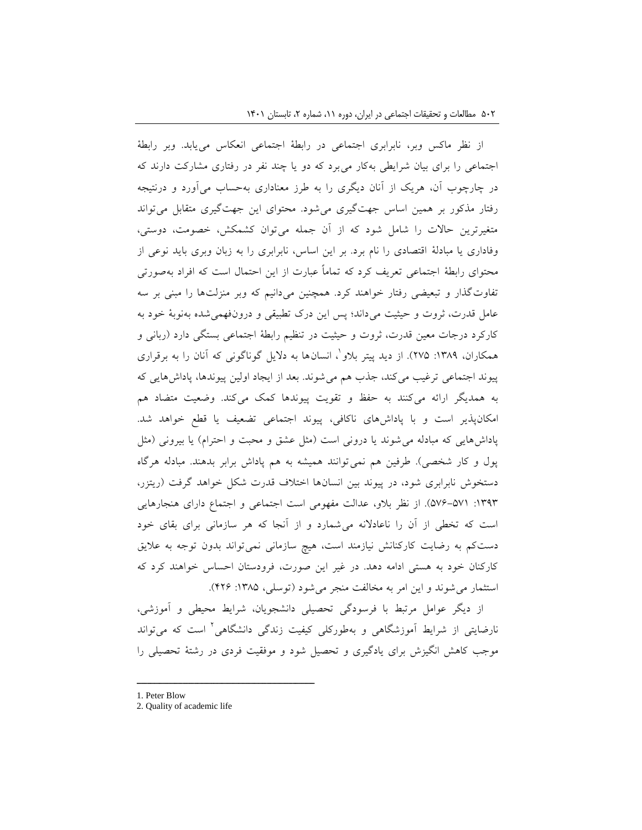از نظر ماکس وبر، نابرابری اجتماعی در رابطۀ اجتماعی انعکاس مییابد. وبر رابطۀ اجتماعی را برای بیان شرایطی بهکار میبرد که دو یا چند نفر در رفتاری مشارکت دارند که در چارچوب آن، هریک از آنان دیگری را به طرز معناداری بهحساب میآورد و درنتیجه رفتار مذکور بر همین اساس جهتگیری میشود. محتوای این جهتگیری متقابل میتواند متغیرترین حاالت را شامل شود که از آن جمله میتوان کشمکش، خصومت، دوستی، وفاداری یا مبادلۀ اقتصادی را نام برد. بر این اساس، نابرابری را به زبان وبری باید نوعی از محتوای رابطۀ اجتماعی تعریف کرد که تماماً عبارت از این احتمال است که افراد بهصورتی تفاوتگذار و تبعیضی رفتار خواهند کرد. همچنین میدانیم که وبر منزلتها را مبنی بر سه عامل قدرت، ثروت و حیثیت میداند؛ پس این درک تطبیقی و درونفهمیشده بهنوبۀ خود به کارکرد درجات معین قدرت، ثروت و حیثیت در تنظیم رابطۀ اجتماعی بستگی دارد )ربانی و همکاران، ۱۳۸۹: ۲۷۵). از دید پیتر بلاو`، انسانها به دلایل گوناگونی که آنان را به برقراری پیوند اجتماعی ترغیب میکند، جذب هم میشوند. بعد از ایجاد اولین پیوندها، پاداشهایی که به همدیگر ارائه میکنند به حفظ و تقویت پیوندها کمک میکند. وضعیت متضاد هم امکانپذیر است و با پاداشهای ناکافی، پیوند اجتماعی تضعیف یا قطع خواهد شد. پاداشهایی که مبادله می شوند یا درونی است (مثل عشق و محبت و احترام) یا بیرونی (مثل پول و کار شخصی). طرفین هم نمی توانند همیشه به هم پاداش برابر بدهند. مبادله هرگاه دستخوش نابرابری شود، در پیوند بین انسانها اختالف قدرت شکل خواهد گرفت )ریتزر، :1393 576-571(. از نظر بالو، عدالت مفهومی است اجتماعی و اجتماع دارای هنجارهایی است که تخطی از آن را ناعادالنه میشمارد و از آنجا که هر سازمانی برای بقای خود دستکم به رضایت کارکنانش نیازمند است، هیچ سازمانی نمیتواند بدون توجه به عالیق کارکنان خود به هستی ادامه دهد. در غیر این صورت، فرودستان احساس خواهند کرد که استثمار می شوند و این امر به مخالفت منجر می شود (توسلی، ۱۳۸۵: ۴۲۶).

از دیگر عوامل مرتبط با فرسودگی تحصیلی دانشجویان، شرایط محیطی و آموزشی، نارضایتی از شرایط آموزشگاهی و بهطورکلی کیفیت زندگی دانشگاهی<sup>۲</sup> است که می¤واند موجب کاهش انگیزش برای یادگیری و تحصیل شود و موفقیت فردی در رشتۀ تحصیلی را

<sup>1.</sup> Peter Blow

<sup>2.</sup> Quality of academic life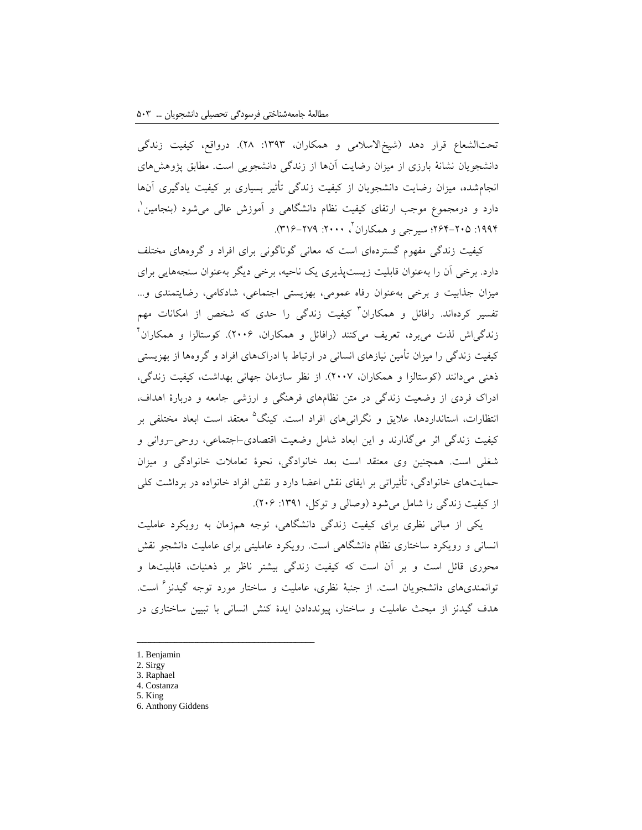تحتالشعاع قرار دهد (شیخالاسلامی و همکاران، ۱۳۹۳: ۲۸). درواقع، کیفیت زندگی دانشجویان نشانۀ بارزی از میزان رضایت آنها از زندگی دانشجویی است. مطابق پژوهشهای انجامشده، میزان رضایت دانشجویان از کیفیت زندگی تأثیر بسیاری بر کیفیت یادگیری آنها دارد و درمجموع موجب ارتقای کیفیت نظام دانشگاهی و اَموزش عالی میشود (بنجامین ٰ، ۱۹۹۴: ۲۰۵–۲۶۴؛ سیرجی و همکاران<sup>۲</sup>، ۲۰۰۰: ۲۷۹–۳۱۶).

کیفیت زندگی مفهوم گستردهای است که معانی گوناگونی برای افراد و گروههای مختلف دارد. برخی آن را بهعنوان قابلیت زیستپذیری یک ناحیه، برخی دیگر بهعنوان سنجههایی برای میزان جذابیت و برخی بهعنوان رفاه عمومی، بهزیستی اجتماعی، شادکامی، رضایتمندی و... نفسیر کردهاند. رافائل و همکاران<sup>۲</sup> کیفیت زندگی را حدی که شخص از امکانات مهم زندگی|ش لذت میبرد، تعریف میکنند (رافائل و همکاران، ۲۰۰۶). کوستالزا و همکاران<sup>۲</sup> کیفیت زندگی را میزان تأمین نیازهای انسانی در ارتباط با ادراکهای افراد و گروهها از بهزیستی ذهنی میدانند )کوستالزا و همکاران، 2007(. از نظر سازمان جهانی بهداشت، کیفیت زندگی، ادراک فردی از وضعیت زندگی در متن نظامهای فرهنگی و ارزشی جامعه و دربارۀ اهداف، نتظارات، استانداردها، علایق و نگرانیهای افراد است. کینگ<sup>0</sup> معتقد است ابعاد مختلفی بر کیفیت زندگی اثر میگذارند و این ابعاد شامل وضعیت اقتصادی-اجتماعی، روحی-روانی و شغلی است. همچنین وی معتقد است بعد خانوادگی، نحوۀ تعامالت خانوادگی و میزان حمایتهای خانوادگی، تأثیراتی بر ایفای نقش اعضا دارد و نقش افراد خانواده در برداشت کلی از کیفیت زندگی را شامل می شود (وصالی و توکل، ۱۳۹۱: ۲۰۶).

یکی از مبانی نظری برای کیفیت زندگی دانشگاهی، توجه همزمان به رویکرد عاملیت انسانی و رویکرد ساختاری نظام دانشگاهی است. رویکرد عاملیتی برای عاملیت دانشجو نقش محوری قائل است و بر آن است که کیفیت زندگی بیشتر ناظر بر ذهنیات، قابلیتها و نوانمندیهای دانشجویان است. از جنبۀ نظری، عاملیت و ساختار مورد توجه گیدنز<sup>۶</sup> است. هدف گیدنز از مبحث عاملیت و ساختار، پیونددادن ایدۀ کنش انسانی با تبیین ساختاری در

<sup>1.</sup> Benjamin

<sup>2.</sup> Sirgy

<sup>3.</sup> Raphael

<sup>4.</sup> Costanza

<sup>5.</sup> King 6. Anthony Giddens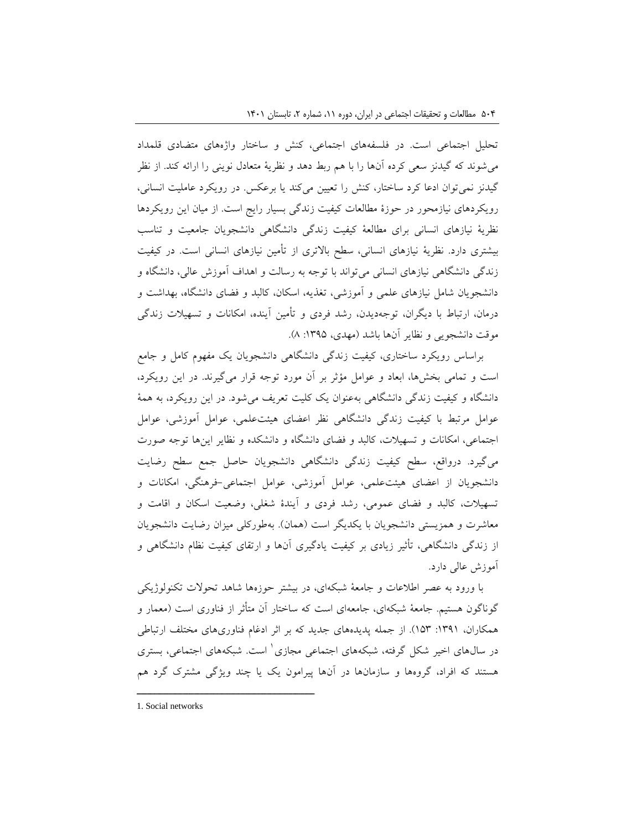تحلیل اجتماعی است. در فلسفههای اجتماعی، کنش و ساختار واژههای متضادی قلمداد میشوند که گیدنز سعی کرده آنها را با هم ربط دهد و نظریۀ متعادل نوینی را ارائه کند. از نظر گیدنز نمیتوان ادعا کرد ساختار، کنش را تعیین میکند یا برعکس. در رویکرد عاملیت انسانی، رویکردهای نیازمحور در حوزۀ مطالعات کیفیت زندگی بسیار رایج است. از میان این رویکردها نظریۀ نیازهای انسانی برای مطالعۀ کیفیت زندگی دانشگاهی دانشجویان جامعیت و تناسب بیشتری دارد. نظریۀ نیازهای انسانی، سطح باالتری از تأمین نیازهای انسانی است. در کیفیت زندگی دانشگاهی نیازهای انسانی میتواند با توجه به رسالت و اهداف آموزش عالی، دانشگاه و دانشجویان شامل نیازهای علمی و آموزشی، تغذیه، اسکان، کالبد و فضای دانشگاه، بهداشت و درمان، ارتباط با دیگران، توجهدیدن، رشد فردی و تأمین آینده، امکانات و تسهیالت زندگی موقت دانشجویی و نظایر آنها باشد (مهدی، ۱۳۹۵: ۸).

براساس رویکرد ساختاری، کیفیت زندگی دانشگاهی دانشجویان یک مفهوم کامل و جامع است و تمامی بخشها، ابعاد و عوامل مؤثر بر آن مورد توجه قرار میگیرند. در این رویکرد، دانشگاه و کیفیت زندگی دانشگاهی بهعنوان یک کلیت تعریف میشود. در این رویکرد، به همۀ عوامل مرتبط با کیفیت زندگی دانشگاهی نظر اعضای هیئتعلمی، عوامل آموزشی، عوامل اجتماعی، امکانات و تسهیالت، کالبد و فضای دانشگاه و دانشکده و نظایر اینها توجه صورت میگیرد. درواقع، سطح کیفیت زندگی دانشگاهی دانشجویان حاصل جمع سطح رضایت دانشجویان از اعضای هیئتعلمی، عوامل آموزشی، عوامل اجتماعی-فرهنگی، امکانات و تسهیالت، کالبد و فضای عمومی، رشد فردی و آیندۀ شغلی، وضعیت اسکان و اقامت و معاشرت و همزیستی دانشجویان با یکدیگر است (همان). بهطورکلی میزان رضایت دانشجویان از زندگی دانشگاهی، تأثیر زیادی بر کیفیت یادگیری آنها و ارتقای کیفیت نظام دانشگاهی و آموزش عالی دارد.

با ورود به عصر اطالعات و جامعۀ شبکهای، در بیشتر حوزهها شاهد تحوالت تکنولوژیکی گوناگون هستیم. جامعۀ شبکهای، جامعهای است که ساختار آن متأثر از فناوری است )معمار و همکاران، :1391 153(. از جمله پدیدههای جدید که بر اثر ادغام فناوریهای مختلف ارتباطی در سالهای اخیر شکل گرفته، شبکههای اجتماعی مجازی<sup>۱</sup> است. شبکههای اجتماعی، بستری هستند که افراد، گروهها و سازمانها در آنها پیرامون یک یا چند ویژگی مشترک گرد هم

<sup>1.</sup> Social networks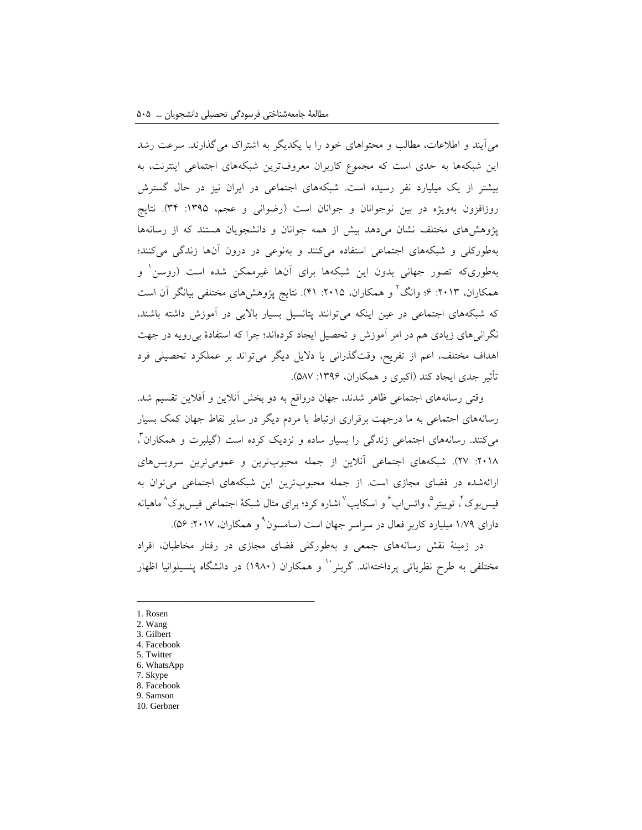میآیند و اطالعات، مطالب و محتواهای خود را با یکدیگر به اشتراک میگذارند. سرعت رشد این شبکهها به حدی است که مجموع کاربران معروفترین شبکههای اجتماعی اینترنت، به بیشتر از یک میلیارد نفر رسیده است. شبکههای اجتماعی در ایران نیز در حال گسترش روزافزون بهویژه در بین نوجوانان و جوانان است (رضوانی و عجم، ۱۳۹۵: ۳۴). نتایج پژوهشهای مختلف نشان میدهد بیش از همه جوانان و دانشجویان هستند که از رسانهها بهطورکلی و شبکههای اجتماعی استفاده میکنند و بهنوعی در درون آنها زندگی میکنند؛ بهطوریکه تصور جهانی بدون این شبکهها برای آنها غیرممکن شده است (روسن و همکاران، ۲۰۱۳: ۶؛ وانگ' و همکاران، ۲۰۱۵: ۴۱). نتایج پژوهشهای مختلفی بیانگر آن است که شبکههای اجتماعی در عین اینکه میتوانند پتانسیل بسیار باالیی در آموزش داشته باشند، نگرانیهای زیادی هم در امر آموزش و تحصیل ایجاد کردهاند؛ چرا که استفادۀ بیرویه در جهت اهداف مختلف، اعم از تفریح، وقتگذرانی یا دالیل دیگر میتواند بر عملکرد تحصیلی فرد تأثیر جدی ایجاد کند (اکبری و همکاران، ۱۳۹۶: ۵۸۷).

وقتی رسانههای اجتماعی ظاهر شدند، جهان درواقع به دو بخش آنالین و آفالین تقسیم شد. رسانههای اجتماعی به ما درجهت برقراری ارتباط با مردم دیگر در سایر نقاط جهان کمک بسیار میکنند. رسانههای اجتماعی زندگی را بسیار ساده و نزدیک کرده است (گیلبرت و همکاران <sup>۳</sup>، :2018 27(. شبکههای اجتماعی آنالین از جمله محبوبترین و عمومیترین سرویسهای ارائهشده در فضای مجازی است. از جمله محبوبترین این شبکههای اجتماعی میتوان به فیسبوک<sup>۲</sup>، توییتر<sup>۹</sup>، واتساپ<sup>۲</sup> و اسکایپ<sup>۷</sup>اشاره کرد؛ برای مثال شبکهٔ اجتماعی فیسبوک<sup>^</sup> ماهیانه دارای ۱/۷۹ میلیارد کاربر فعال در سراسر جهان است (سامسون<sup>۹</sup> و همکاران، ۲۰۱۷: ۵۶).

در زمینۀ نقش رسانههای جمعی و بهطورکلی فضای مجازی در رفتار مخاطبان، افراد مختلفی به طرح نظریاتی پرداختهاند. گربنر`` و همکاران (۱۹۸۰) در دانشگاه پنسیلوانیا اظهار

1. Rosen

- 2. Wang
- 3. Gilbert 4. Facebook
- 5. Twitter
- 6. WhatsApp
- 7. Skype
- 8. Facebook
- 9. Samson
- 10. Gerbner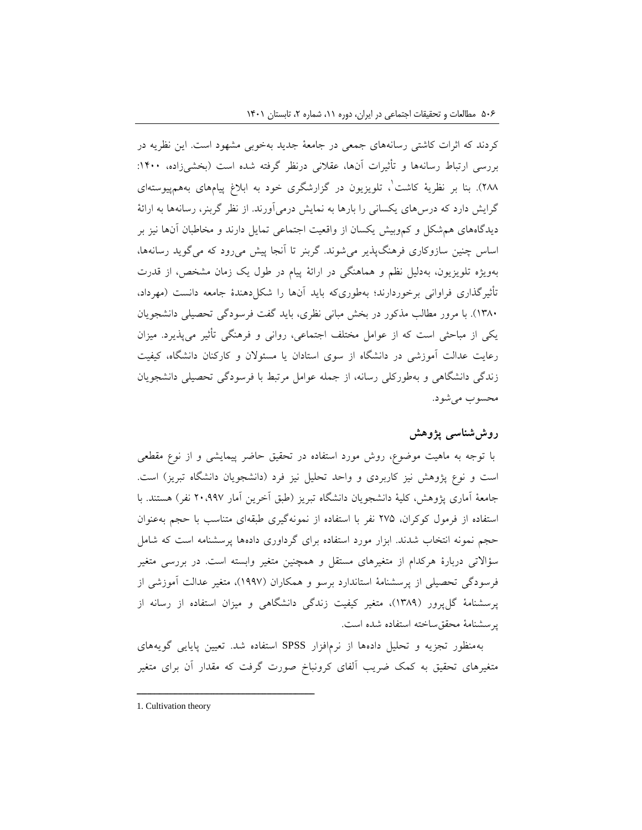کردند که اثرات کاشتی رسانههای جمعی در جامعۀ جدید بهخوبی مشهود است. این نظریه در بررسی ارتباط رسانهها و تأثیرات آنها، عقالنی درنظر گرفته شده است )بخشیزاده، :1400 ۲۸۸). بنا بر نظریۀ کاشت ٰ، تلویزیون در گزارشگری خود به ابلاغ پیامهای بههمهپیوستهای گرایش دارد که درسهای یکسانی را بارها به نمایش درمیآورند. از نظر گربنر، رسانهها به ارائۀ دیدگاههای همشکل و کموبیش یکسان از واقعیت اجتماعی تمایل دارند و مخاطبان آنها نیز بر اساس چنین سازوکاری فرهنگپذیر میشوند. گربنر تا آنجا پیش میرود که میگوید رسانهها، بهویژه تلویزیون، بهدلیل نظم و هماهنگی در ارائۀ پیام در طول یک زمان مشخص، از قدرت تأثیرگذاری فراوانی برخوردارند؛ بهطوریکه باید آنها را شکلدهندۀ جامعه دانست )مهرداد، 1380(. با مرور مطالب مذکور در بخش مبانی نظری، باید گفت فرسودگی تحصیلی دانشجویان یکی از مباحثی است که از عوامل مختلف اجتماعی، روانی و فرهنگی تأثیر میپذیرد. میزان رعایت عدالت آموزشی در دانشگاه از سوی استادان یا مسئوالن و کارکنان دانشگاه، کیفیت زندگی دانشگاهی و بهطورکلی رسانه، از جمله عوامل مرتبط با فرسودگی تحصیلی دانشجویان محسوب میشود.

## **روششناسی پژوهش**

با توجه به ماهیت موضوع، روش مورد استفاده در تحقیق حاضر پیمایشی و از نوع مقطعی است و نوع پژوهش نیز کاربردی و واحد تحلیل نیز فرد )دانشجویان دانشگاه تبریز( است. جامعۀ آماری پژوهش، کلیۀ دانشجویان دانشگاه تبریز (طبق آخرین آمار ۲۰،۹۹۷ نفر) هستند. با استفاده از فرمول کوکران، 275 نفر با استفاده از نمونهگیری طبقهای متناسب با حجم بهعنوان حجم نمونه انتخاب شدند. ابزار مورد استفاده برای گرداوری دادهها پرسشنامه است که شامل سؤاالتی دربارۀ هرکدام از متغیرهای مستقل و همچنین متغیر وابسته است. در بررسی متغیر فرسودگی تحصیلی از پرسشنامۀ استاندارد برسو و همکاران )1997(، متغیر عدالت آموزشی از پرسشنامۀ گلپرور )1389(، متغیر کیفیت زندگی دانشگاهی و میزان استفاده از رسانه از پرسشنامۀ محققساخته استفاده شده است.

بهمنظور تجزیه و تحلیل دادهها از نرمافزار SPSS استفاده شد. تعیین پایایی گویههای متغیرهای تحقیق به کمک ضریب آلفای کرونباخ صورت گرفت که مقدار آن برای متغیر

<sup>1.</sup> Cultivation theory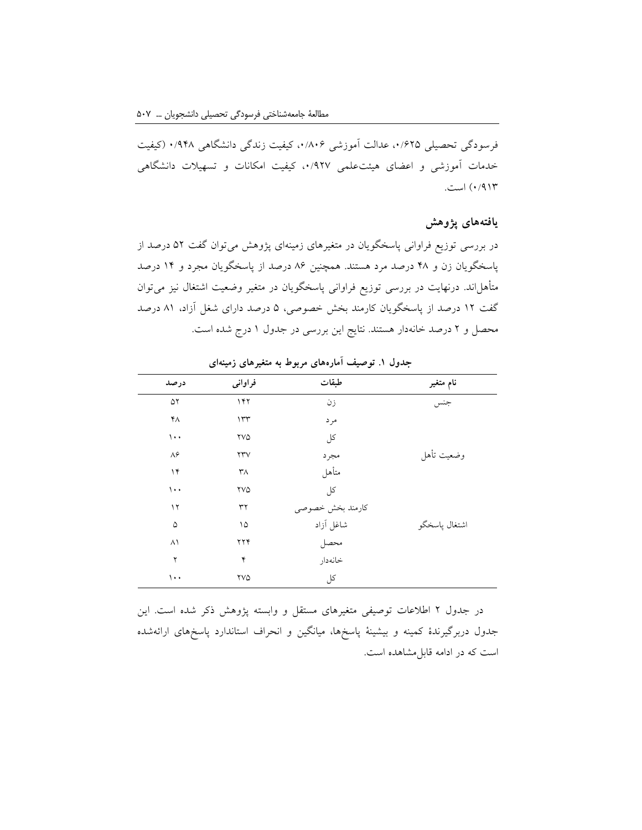فرسودگی تحصیلی ۰/۶۲۵ عدالت آموزشی ۰/۸۰۶، کیفیت زندگی دانشگاهی ۰/۹۴۸ (کیفیت خدمات آموزشی و اعضای هیئتعلمی ،0/927 کیفیت امکانات و تسهیالت دانشگاهی 0/913( است.

#### **یافتههای پژوهش**

در بررسی توزیع فراوانی پاسخگویان در متغیرهای زمینهای پژوهش میتوان گفت 52 درصد از پاسخگویان زن و 48 درصد مرد هستند. همچنین 86 درصد از پاسخگویان مجرد و 14 درصد متأهلاند. درنهایت در بررسی توزیع فراوانی پاسخگویان در متغیر وضعیت اشتغال نیز میتوان گفت 12 درصد از پاسخگویان کارمند بخش خصوصی، 5 درصد دارای شغل آزاد، 81 درصد محصل و 2 درصد خانهدار هستند. نتایج این بررسی در جدول 1 درج شده است.

| درصد        | فراوانبي               | طبقات            | نام متغیر     |
|-------------|------------------------|------------------|---------------|
| ۵۲          | ۱۴۲                    | زن               | جنس           |
| ۴٨          | $\gamma \gamma \gamma$ | مر د             |               |
| $\cdots$    | <b>YVQ</b>             | کل               |               |
| $\Lambda$ ۶ | $\gamma \gamma \gamma$ | مجر د            | وضعيت تأهل    |
| $\gamma$    | ۳٨                     | متأهل            |               |
| $\cdots$    | <b>YVQ</b>             | کل               |               |
| $\gamma$    | ٣٢                     | كارمند بخش خصوصي |               |
| ۵           | ۱۵                     | شاغل آزاد        | اشتغال ياسخگو |
| $\wedge$    | ۲۲۴                    | محصل             |               |
| ۲           | ۴                      | خانەدار          |               |
| ۱۰۰         | ۲۷۵                    | کل               |               |
|             |                        |                  |               |

**جدول .۱ توصیف آمارههای مربوط به متغیرهای زمینهای**

در جدول 2 اطالعات توصیفی متغیرهای مستقل و وابسته پژوهش ذکر شده است. این جدول دربرگیرندۀ کمینه و بیشینۀ پاسخها، میانگین و انحراف استاندارد پاسخهای ارائهشده است که در ادامه قابل مشاهده است.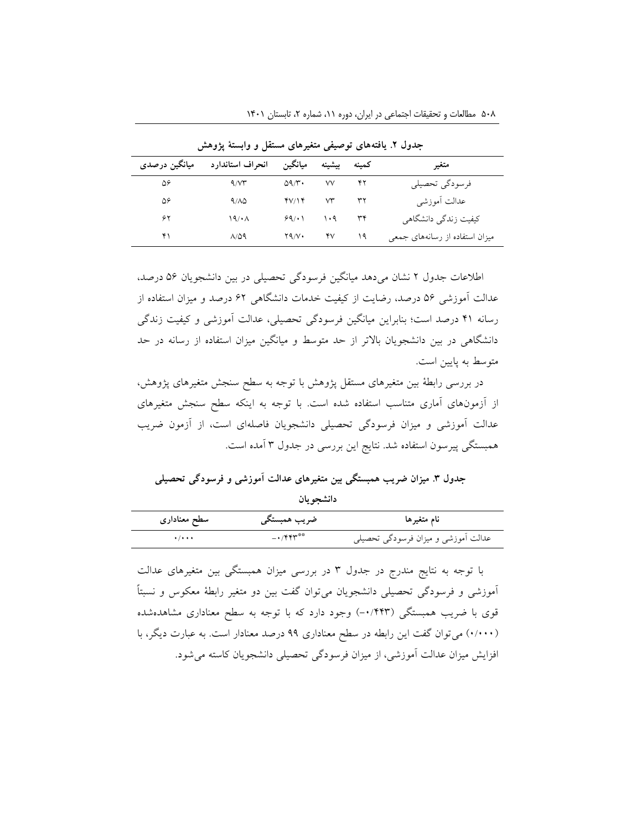|               | - - -<br>.         | - -      | ----   |       |                                |
|---------------|--------------------|----------|--------|-------|--------------------------------|
| میانگین درصدی | انحراف استاندارد   | ميانگين  | بيشينه | كمينه | متغير                          |
| ۵۶            | 4/yr               | $09/r$ . | ٧٧     | ۴۲    | فرسودگي تحصيلي                 |
| ۵۶            | 9/10               | fV/Y     | v٣     | ٣٢    | عدالت أموزشي                   |
| ۶۲            | 19/4               | 99/1     | ۱۰۹    | ٣۴    | کیفیت زندگی دانشگاهی           |
| ۴۱            | $\Lambda/\Delta$ 9 | Y9/Y     | ۴٧     | ۱۹    | میزان استفاده از رسانههای جمعی |

**جدول .۲ یافتههای توصیفی متغیرهای مستقل و وابستۀ پژوهش**

اطالعات جدول 2 نشان میدهد میانگین فرسودگی تحصیلی در بین دانشجویان 56 درصد، عدالت آموزشی 56 درصد، رضایت از کیفیت خدمات دانشگاهی 62 درصد و میزان استفاده از رسانه 41 درصد است؛ بنابراین میانگین فرسودگی تحصیلی، عدالت آموزشی و کیفیت زندگی دانشگاهی در بین دانشجویان باالتر از حد متوسط و میانگین میزان استفاده از رسانه در حد متوسط به پایین است.

در بررسی رابطۀ بین متغیرهای مستقل پژوهش با توجه به سطح سنجش متغیرهای پژوهش، از آزمونهای آماری متناسب استفاده شده است. با توجه به اینکه سطح سنجش متغیرهای عدالت آموزشی و میزان فرسودگی تحصیلی دانشجویان فاصلهای است، از آزمون ضریب همبستگی پیرسون استفاده شد. نتایج این بررسی در جدول 3 آمده است.

**جدول .۳ میزان ضریب همبستگی بین متغیرهای عدالت آموزشی و فرسودگی تحصیلی دانشجویان**

| سطح معناداری                | ضريب همبستگي                                                                 | نام متغيرها                         |
|-----------------------------|------------------------------------------------------------------------------|-------------------------------------|
| $\cdot$ / $\cdot$ + $\cdot$ | $ \cdot$ / $\uparrow$ $\uparrow$ $\uparrow$ $\stackrel{\text{\tiny def}}{=}$ | عدالت أموزشي و ميزان فرسودگي تحصيلي |

با توجه به نتایج مندرج در جدول 3 در بررسی میزان همبستگی بین متغیرهای عدالت آموزشی و فرسودگی تحصیلی دانشجویان میتوان گفت بین دو متغیر رابطۀ معکوس و نسبتاً قوی با ضریب همبستگی (۰/۴۴۳) وجود دارد که با توجه به سطح معناداری مشاهدهشده )0/000( میتوان گفت این رابطه در سطح معناداری 99 درصد معنادار است. به عبارت دیگر، با افزایش میزان عدالت آموزشی، از میزان فرسودگی تحصیلی دانشجویان کاسته میشود.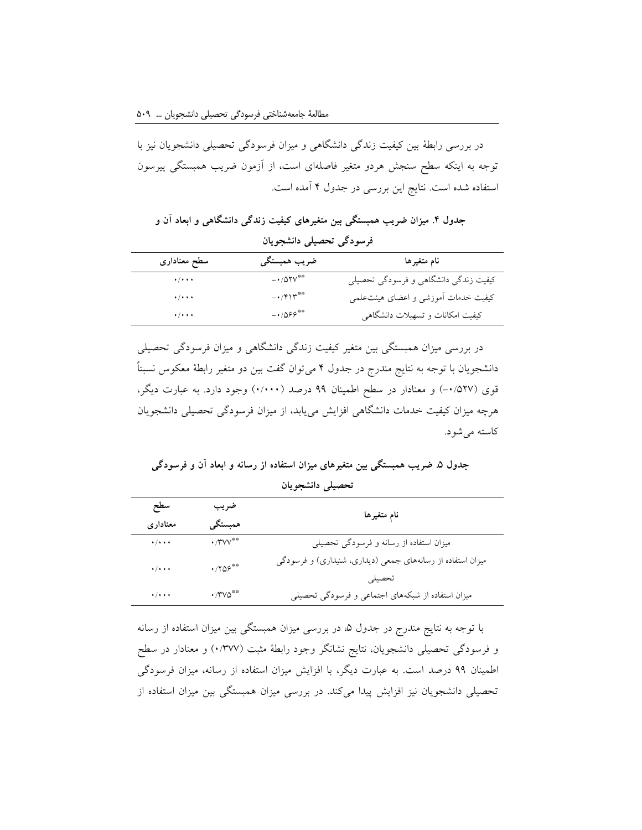در بررسی رابطۀ بین کیفیت زندگی دانشگاهی و میزان فرسودگی تحصیلی دانشجویان نیز با توجه به اینکه سطح سنجش هردو متغیر فاصلهای است، از آزمون ضریب همبستگی پیرسون استفاده شده است. نتایج این بررسی در جدول 4 آمده است.

**جدول .۴ میزان ضریب همبستگی بین متغیرهای کیفیت زندگی دانشگاهی و ابعاد آن و فرسودگی تحصیلی دانشجویان**

| سطح معنادارى                | ضريب همبستگي                                     | نام متغيرها                           |
|-----------------------------|--------------------------------------------------|---------------------------------------|
| $\cdot$ / $\cdot$ $\cdot$   | $-10YV^{\ast\ast}$                               | کیفیت زندگی دانشگاهی و فرسودگی تحصیلی |
| $\cdot/\cdot\cdot\cdot$     | $- \cdot / \mathfrak{r} \mathfrak{h}^{\ast\ast}$ | کیفیت خدمات آموزشی و اعضای هیئت علمی  |
| $\cdot / \cdot \cdot \cdot$ | $-1099$                                          | کیفیت امکانات و تسهیلات دانشگاهی      |

در بررسی میزان همبستگی بین متغیر کیفیت زندگی دانشگاهی و میزان فرسودگی تحصیلی دانشجویان با توجه به نتایج مندرج در جدول 4 میتوان گفت بین دو متغیر رابطۀ معکوس نسبتاً قوی (۵۲۷/-) و معنادار در سطح اطمینان ۹۹ درصد (۰/۰۰۰) وجود دارد. به عبارت دیگر، هرچه میزان کیفیت خدمات دانشگاهی افزایش مییابد، از میزان فرسودگی تحصیلی دانشجویان کاسته میشود.

**جدول .۵ ضریب همبستگی بین متغیرهای میزان استفاده از رسانه و ابعاد آن و فرسودگی تحصیلی دانشجویان**

| سطح<br>معناداري           | ضريب<br>همبستگي                          | نام متغيرها                                                          |
|---------------------------|------------------------------------------|----------------------------------------------------------------------|
| $\cdot/\cdot\cdot\cdot$   | $\cdot$ / $\mathsf{r} \vee \mathsf{v}^*$ | میزان استفاده از رسانه و فرسودگی تحصیلی                              |
| $\cdot/\cdot\cdot\cdot$   | $\cdot$ /۲۵۶**                           | میزان استفاده از رسانههای جمعی (دیداری، شنیداری) و فرسودگی<br>تحصيلي |
| $\cdot$ / $\cdot$ $\cdot$ | $\cdot$ /۳۷۵**                           | میزان استفاده از شبکههای اجتماعی و فرسودگی تحصیلی                    |

با توجه به نتایج مندرج در جدول ۵، در بررسی میزان همبستگی بین میزان استفاده از رسانه و فرسودگی تحصیلی دانشجویان، نتایج نشانگر وجود رابطۀ مثبت )0/377( و معنادار در سطح اطمینان 99 درصد است. به عبارت دیگر، با افزایش میزان استفاده از رسانه، میزان فرسودگی تحصیلی دانشجویان نیز افزایش پیدا میکند. در بررسی میزان همبستگی بین میزان استفاده از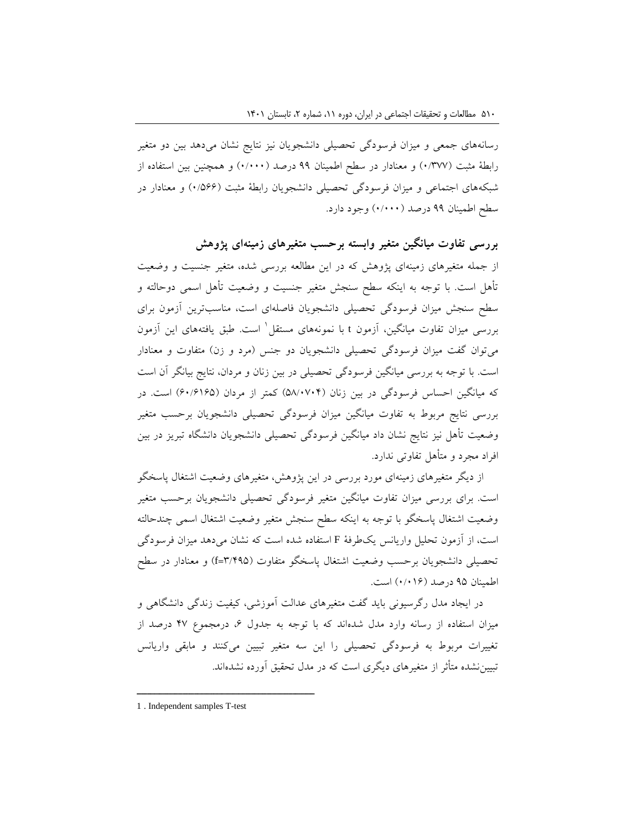رسانههای جمعی و میزان فرسودگی تحصیلی دانشجویان نیز نتایج نشان میدهد بین دو متغیر رابطۀ مثبت )0/377( و معنادار در سطح اطمینان 99 درصد )0/000( و همچنین بین استفاده از شبکههای اجتماعی و میزان فرسودگی تحصیلی دانشجویان رابطۀ مثبت )0/566( و معنادار در سطح اطمینان ۹۹ درصد (۱/۰۰۰) وجود دارد.

**بررسی تفاوت میانگین متغیر وابسته برحسب متغیرهای زمینهای پژوهش** از جمله متغیرهای زمینهای پژوهش که در این مطالعه بررسی شده، متغیر جنسیت و وضعیت تأهل است. با توجه به اینکه سطح سنجش متغیر جنسیت و وضعیت تأهل اسمی دوحالته و سطح سنجش میزان فرسودگی تحصیلی دانشجویان فاصلهای است، مناسبترین آزمون برای 1 بررسی میزان تفاوت میانگین، آزمون <sup>t</sup> با نمونههای مستقل است. طبق یافتههای این آزمون میتوان گفت میزان فرسودگی تحصیلی دانشجویان دو جنس )مرد و زن( متفاوت و معنادار است. با توجه به بررسی میانگین فرسودگی تحصیلی در بین زنان و مردان، نتایج بیانگر آن است که میانگین احساس فرسودگی در بین زنان (۵۸/۰۷۰۴) کمتر از مردان (۶۰/۶۱۶۵) است. در بررسی نتایج مربوط به تفاوت میانگین میزان فرسودگی تحصیلی دانشجویان برحسب متغیر وضعیت تأهل نیز نتایج نشان داد میانگین فرسودگی تحصیلی دانشجویان دانشگاه تبریز در بین افراد مجرد و متأهل تفاوتی ندارد.

از دیگر متغیرهای زمینهای مورد بررسی در این پژوهش، متغیرهای وضعیت اشتغال پاسخگو است. برای بررسی میزان تفاوت میانگین متغیر فرسودگی تحصیلی دانشجویان برحسب متغیر وضعیت اشتغال پاسخگو با توجه به اینکه سطح سنجش متغیر وضعیت اشتغال اسمی چندحالته است، از آزمون تحلیل واریانس یکطرفۀ <sup>F</sup> استفاده شده است که نشان میدهد میزان فرسودگی تحصیلی دانشجویان برحسب وضعیت اشتغال پاسخگو متفاوت )3/495=f )و معنادار در سطح اطمینان 95 درصد )0/016( است.

در ایجاد مدل رگرسیونی باید گفت متغیرهای عدالت آموزشی، کیفیت زندگی دانشگاهی و میزان استفاده از رسانه وارد مدل شدهاند که با توجه به جدول ۶، درمجموع ۴۷ درصد از تغییرات مربوط به فرسودگی تحصیلی را این سه متغیر تبیین میکنند و مابقی واریانس تبییننشده متأثر از متغیرهای دیگری است که در مدل تحقیق آورده نشدهاند.

<sup>1</sup> . Independent samples T-test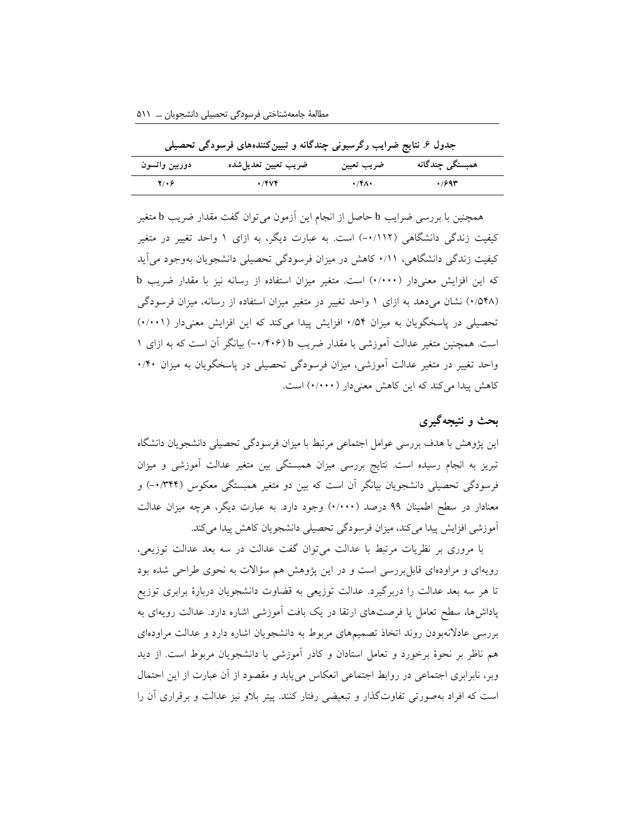| جدول ۶. نتایج ضرایب رگرسیونی چندگانه و تبیین کنندههای فرسودگی تحصیلی |                     |              |                         |  |
|----------------------------------------------------------------------|---------------------|--------------|-------------------------|--|
| دوربين واتسون                                                        | ضريب تعيين تعديلشده | ضريب تعيين   | ھمبستگ <i>ی</i> چندگانه |  |
| $Y \cdot 5$                                                          | $\cdot$ / FV F      | $\cdot$ /۴۸۰ | .7994                   |  |

همچنین با بررسی ضرایب <sup>b</sup> حاصل از انجام این آزمون میتوان گفت مقدار ضریب <sup>b</sup> متغیر کیفیت زندگی دانشگاهی )-0/112( است. به عبارت دیگر، به ازای 1 واحد تغییر در متغیر کیفیت زندگی دانشگاهی، 0/11 کاهش در میزان فرسودگی تحصیلی دانشجویان بهوجود میآید که این افزایش معنیدار )0/000( است. متغیر میزان استفاده از رسانه نیز با مقدار ضریب <sup>b</sup> )0/548( نشان میدهد به ازای 1 واحد تغییر در متغیر میزان استفاده از رسانه، میزان فرسودگی تحصیلی در پاسخگویان به میزان ۰/۵۴ افزایش پیدا میکند که این افزایش معنیدار (۰/۰۰۱) است. همچنین متغیر عدالت آموزشی با مقدار ضریب b( -0/406 )بیانگر آن است که به ازای 1 واحد تغییر در متغیر عدالت آموزشی، میزان فرسودگی تحصیلی در پاسخگویان به میزان 0/40 کاهش پیدا می کند که این کاهش معنیدار (۰/۰۰۰) است.

# **بحث و نتیجهگیری**

این پژوهش با هدف بررسی عوامل اجتماعی مرتبط با میزان فرسودگی تحصیلی دانشجویان دانشگاه تبریز به انجام رسیده است. نتایج بررسی میزان همبستگی بین متغیر عدالت آموزشی و میزان فرسودگی تحصیلی دانشجویان بیانگر آن است که بین دو متغیر همبستگی معکوس )-0/344( و معنادار در سطح اطمینان 99 درصد )0/000( وجود دارد. به عبارت دیگر، هرچه میزان عدالت آموزشی افزایش پیدا میکند، میزان فرسودگی تحصیلی دانشجویان کاهش پیدا میکند.

با مروری بر نظریات مرتبط با عدالت میتوان گفت عدالت در سه بعد عدالت توزیعی، رویهای و مراودهای قابلبررسی است و در این پژوهش هم سؤاالت به نحوی طراحی شده بود تا هر سه بعد عدالت را دربرگیرد. عدالت توزیعی به قضاوت دانشجویان دربارۀ برابری توزیع پاداشها، سطح تعامل یا فرصتهای ارتقا در یک بافت آموزشی اشاره دارد. عدالت رویهای به بررسی عادالنهبودن روند اتخاذ تصمیمهای مربوط به دانشجویان اشاره دارد و عدالت مراودهای هم ناظر بر نحوۀ برخورد و تعامل استادان و کادر آموزشی با دانشجویان مربوط است. از دید وبر، نابرابری اجتماعی در روابط اجتماعی انعکاس مییابد و مقصود از آن عبارت از این احتمال است که افراد بهصورتی تفاوتگذار و تبعیضی رفتار کنند. پیتر بالو نیز عدالت و برقراری آن را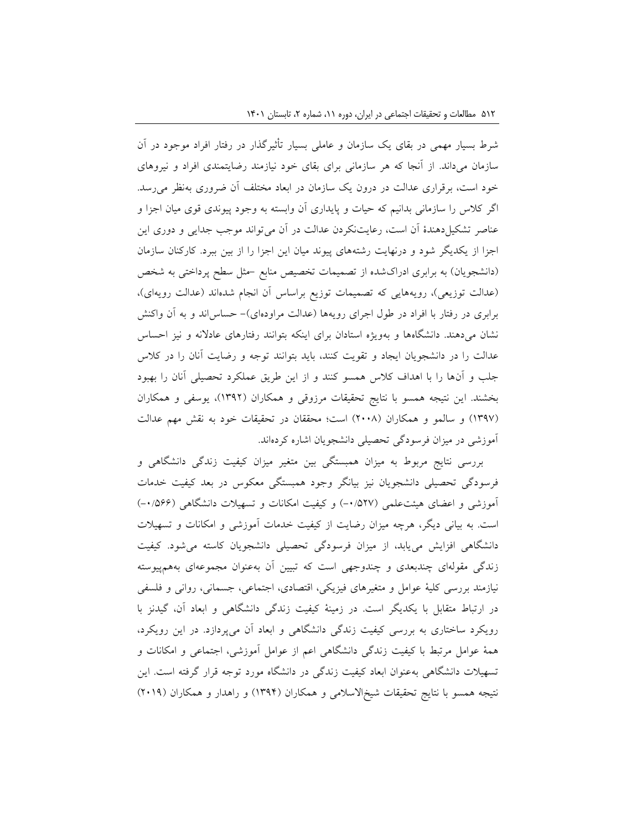شرط بسیار مهمی در بقای یک سازمان و عاملی بسیار تأثیرگذار در رفتار افراد موجود در آن سازمان میداند. از آنجا که هر سازمانی برای بقای خود نیازمند رضایتمندی افراد و نیروهای خود است، برقراری عدالت در درون یک سازمان در ابعاد مختلف آن ضروری بهنظر میرسد. اگر کالس را سازمانی بدانیم که حیات و پایداری آن وابسته به وجود پیوندی قوی میان اجزا و عناصر تشکیل دهندۀ آن است، رعایتنکردن عدالت در آن می تواند موجب جدایی و دوری این اجزا از یکدیگر شود و درنهایت رشتههای پیوند میان این اجزا را از بین ببرد. کارکنان سازمان (دانشجویان) به برابری ادراکشده از تصمیمات تخصیص منابع -مثل سطح پرداختی به شخص (عدالت توزیعی)، رویههایی که تصمیمات توزیع براساس آن انجام شدهاند (عدالت رویهای)، برابری در رفتار با افراد در طول اجرای رویهها (عدالت مراودهای)– حساس اند و به آن واکنش نشان میدهند. دانشگاهها و بهویژه استادان برای اینکه بتوانند رفتارهای عادالنه و نیز احساس عدالت را در دانشجویان ایجاد و تقویت کنند، باید بتوانند توجه و رضایت آنان را در کالس جلب و آنها را با اهداف کالس همسو کنند و از این طریق عملکرد تحصیلی آنان را بهبود بخشند. این نتیجه همسو با نتایج تحقیقات مرزوقی و همکاران )1392(، یوسفی و همکاران )1397( و سالمو و همکاران )2008( است؛ محققان در تحقیقات خود به نقش مهم عدالت آموزشی در میزان فرسودگی تحصیلی دانشجویان اشاره کردهاند.

بررسی نتایج مربوط به میزان همبستگی بین متغیر میزان کیفیت زندگی دانشگاهی و فرسودگی تحصیلی دانشجویان نیز بیانگر وجود همبستگی معکوس در بعد کیفیت خدمات آموزشی و اعضای هیئت علمی (۵۲۷–) و کیفیت امکانات و تسهیلات دانشگاهی (۵۶۶-) است. به بیانی دیگر، هرچه میزان رضایت از کیفیت خدمات آموزشی و امکانات و تسهیالت دانشگاهی افزایش مییابد، از میزان فرسودگی تحصیلی دانشجویان کاسته میشود. کیفیت زندگی مقولهای چندبعدی و چندوجهی است که تبیین آن بهعنوان مجموعهای بههمپیوسته نیازمند بررسی کلیۀ عوامل و متغیرهای فیزیکی، اقتصادی، اجتماعی، جسمانی، روانی و فلسفی در ارتباط متقابل با یکدیگر است. در زمینۀ کیفیت زندگی دانشگاهی و ابعاد آن، گیدنز با رویکرد ساختاری به بررسی کیفیت زندگی دانشگاهی و ابعاد آن میپردازد. در این رویکرد، همۀ عوامل مرتبط با کیفیت زندگی دانشگاهی اعم از عوامل آموزشی، اجتماعی و امکانات و تسهیالت دانشگاهی بهعنوان ابعاد کیفیت زندگی در دانشگاه مورد توجه قرار گرفته است. این نتیجه همسو با نتایج تحقیقات شیخالاسلامی و همکاران (۱۳۹۴) و راهدار و همکاران (۲۰۱۹)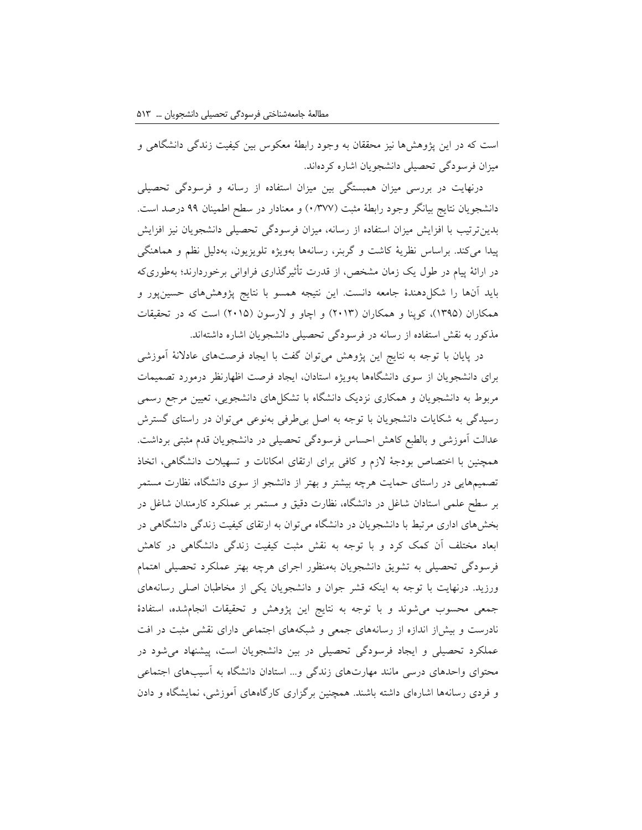است که در این پژوهشها نیز محققان به وجود رابطۀ معکوس بین کیفیت زندگی دانشگاهی و میزان فرسودگی تحصیلی دانشجویان اشاره کردهاند.

درنهایت در بررسی میزان همبستگی بین میزان استفاده از رسانه و فرسودگی تحصیلی دانشجویان نتایج بیانگر وجود رابطۀ مثبت )0/377( و معنادار در سطح اطمینان 99 درصد است. بدینترتیب با افزایش میزان استفاده از رسانه، میزان فرسودگی تحصیلی دانشجویان نیز افزایش پیدا میکند. براساس نظریۀ کاشت و گربنر، رسانهها بهویژه تلویزیون، بهدلیل نظم و هماهنگی در ارائۀ پیام در طول یک زمان مشخص، از قدرت تأثیرگذاری فراوانی برخوردارند؛ بهطوریکه باید آنها را شکلدهندۀ جامعه دانست. این نتیجه همسو با نتایج پژوهشهای حسینپور و همکاران )1395(، کوپنا و همکاران )2013( و اچاو و الرسون )2015( است که در تحقیقات مذکور به نقش استفاده از رسانه در فرسودگی تحصیلی دانشجویان اشاره داشتهاند.

در پایان با توجه به نتایج این پژوهش میتوان گفت با ایجاد فرصتهای عادالنۀ آموزشی برای دانشجویان از سوی دانشگاهها بهویژه استادان، ایجاد فرصت اظهارنظر درمورد تصمیمات مربوط به دانشجویان و همکاری نزدیک دانشگاه با تشکلهای دانشجویی، تعیین مرجع رسمی رسیدگی به شکایات دانشجویان با توجه به اصل بیطرفی بهنوعی میتوان در راستای گسترش عدالت آموزشی و بالطبع کاهش احساس فرسودگی تحصیلی در دانشجویان قدم مثبتی برداشت. همچنین با اختصاص بودجۀ الزم و کافی برای ارتقای امکانات و تسهیالت دانشگاهی، اتخاذ تصمیمهایی در راستای حمایت هرچه بیشتر و بهتر از دانشجو از سوی دانشگاه، نظارت مستمر بر سطح علمی استادان شاغل در دانشگاه، نظارت دقیق و مستمر بر عملکرد کارمندان شاغل در بخشهای اداری مرتبط با دانشجویان در دانشگاه میتوان به ارتقای کیفیت زندگی دانشگاهی در ابعاد مختلف آن کمک کرد و با توجه به نقش مثبت کیفیت زندگی دانشگاهی در کاهش فرسودگی تحصیلی به تشویق دانشجویان بهمنظور اجرای هرچه بهتر عملکرد تحصیلی اهتمام ورزید. درنهایت با توجه به اینکه قشر جوان و دانشجویان یکی از مخاطبان اصلی رسانههای جمعی محسوب میشوند و با توجه به نتایج این پژوهش و تحقیقات انجامشده، استفادۀ نادرست و بیشاز اندازه از رسانههای جمعی و شبکههای اجتماعی دارای نقشی مثبت در افت عملکرد تحصیلی و ایجاد فرسودگی تحصیلی در بین دانشجویان است، پیشنهاد میشود در محتوای واحدهای درسی مانند مهارتهای زندگی و... استادان دانشگاه به آسیبهای اجتماعی و فردی رسانهها اشارهای داشته باشند. همچنین برگزاری کارگاههای آموزشی، نمایشگاه و دادن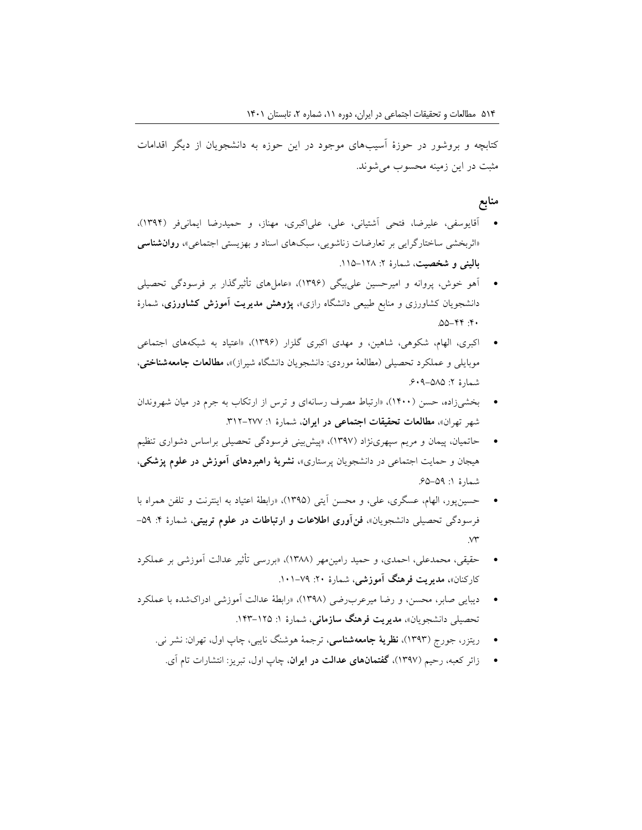کتابچه و بروشور در حوزۀ آسیبهای موجود در این حوزه به دانشجویان از دیگر اقدامات مثبت در این زمینه محسوب میشوند.

### **منابع**

- آقایوسفی، علیرضا، فتحی آشتیانی، علی، علیاکبری، مهناز، و حمیدرضا ایمانیفر )1394(، »اثربخشی ساختارگرایی بر تعارضات زناشویی، سبکهای اسناد و بهزیستی اجتماعی«**، روانشناسی بالینی و شخصیت**، شمارۀ :2 .115-128
- آهو خوش، پروانه و امیرحسین علیبیگی )1396(، »عاملهای تأثیرگذار بر فرسودگی تحصیلی دانشجویان کشاورزی و منابع طبیعی دانشگاه رازی«، **پژوهش مدیریت آموزش کشاورزی**، شمارۀ  $.00 - YY. Y$
- اکبری، الهام، شکوهی، شاهین، و مهدی اکبری گلزار )1396(، »اعتیاد به شبکههای اجتماعی موبایلی و عملکرد تحصیلی )مطالعۀ موردی: دانشجویان دانشگاه شیراز(«**، مطالعات جامعهشناختی**، شمارۀ :2 .609-585
- بخشی زاده، حسن (۱۴۰۰)، «ارتباط مصرف رسانهای و ترس از ارتکاب به جرم در میان شهروندان شهر تهران»، مطالعات تحقیقات اجتماعی در ایران، شمارۀ ١: ٢٧٧-٣١٢.
- حاتمیان، پیمان و مریم سپهرینژاد )1397(، »پیشبینی فرسودگی تحصیلی براساس دشواری تنظیم هیجان و حمایت اجتماعی در دانشجویان پرستاری«**، نشریۀ راهبردهای آموزش در علوم پزشکی**، شمارۀ :1 .65-59
- حسینپور، الهام، عسگری، علی، و محسن آیتی )1395(، »رابطۀ اعتیاد به اینترنت و تلفن همراه با فرسودگی تحصیلی دانشجویان»، فن آ**وری اطلاعات و ارتباطات در علوم تربیتی**، شمارۀ ۴: ۵۹- $.97$
- حقیقی، محمدعلی، احمدی، و حمید رامینمهر )1388(، »بررسی تأثیر عدالت آموزشی بر عملکرد کارکنان»، **مدیریت فرهنگ آموزشی**، شمارۀ ۲۰: ۷۹–۱۰۱.
- دیبایی صابر، محسن، و رضا میرعربرضی )1398(، »رابطۀ عدالت آموزشی ادراکشده با عملکرد تحصیلی دانشجویان»، م**دیریت فرهنگ سازمانی**، شمارۀ ۱: ۱۲۵-۱۴۳.
	- ریتزر، جورج )1393(، **نظریۀ جامعهشناسی**، ترجمۀ هوشنگ نایبی، چاپ اول، تهران: نشر نی.
		- زائر کعبه، رحیم )1397(، **گفتمانهای عدالت در ایران**، چاپ اول، تبریز: انتشارات تام آی.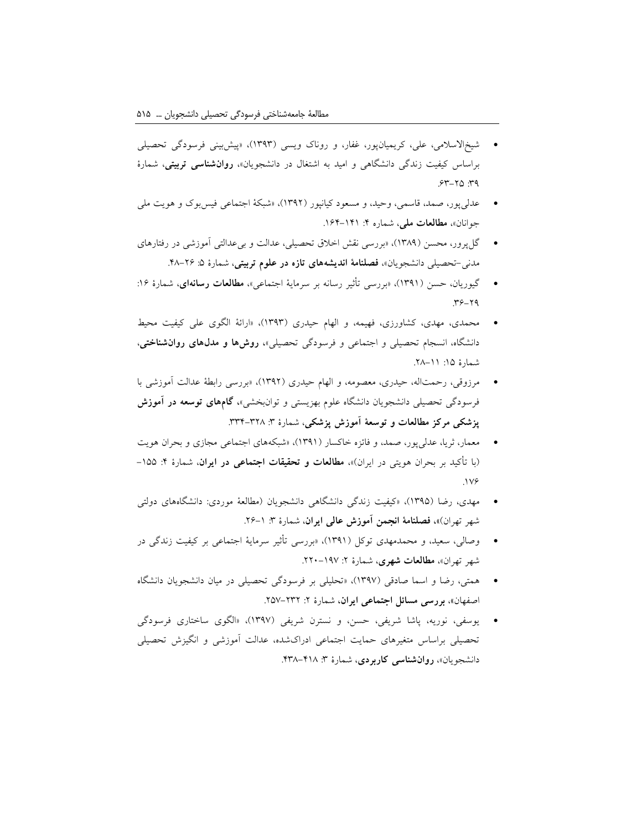- شیخاالسالمی، علی، کریمیانپور، غفار، و روناک ویسی )1393(، »پیشبینی فرسودگی تحصیلی براساس کیفیت زندگی دانشگاهی و امید به اشتغال در دانشجویان«، **روانشناسی تربیتی**، شمارۀ  $.67 - 70.79$
- عدلیپور، صمد، قاسمی، وحید، و مسعود کیانپور )1392(، »شبکۀ اجتماعی فیسبوک و هویت ملی جوانان»، **مطالعات ملی**، شماره ۴: ۱۴۱-۱۶۴.
- گلپرور، محسن )1389(، »بررسی نقش اخالق تحصیلی، عدالت و بیعدالتی آموزشی در رفتارهای مدنی-تحصیلی دانشجویان»، فصلنامۀ اندیشههای تازه در علوم تربیتی، شمارۀ ۵: ۲۶-۴۸.
- گیوریان، حسن (۱۳۹۱)، «بررسی تأثیر رسانه بر سرمایۀ اجتماعی»، **مطالعات رسانهای**، شمارۀ ۱۶:  $.79 - 79$
- محمدی، مهدی، کشاورزی، فهیمه، و الهام حیدری )1393(، »ارائۀ الگوی علی کیفیت محیط دانشگاه، انسجام تحصیلی و اجتماعی و فرسودگی تحصیلی«**، روشها و مدلهای روانشناختی**، شمارۀ 10: ١١-٢٨.
- مرزوقی، رحمتاله، حیدری، معصومه، و الهام حیدری )1392(، »بررسی رابطۀ عدالت آموزشی با فرسودگی تحصیلی دانشجویان دانشگاه علوم بهزیستی و توانبخشی«**، گامهای توسعه در آموزش پزشکی مرکز مطالعات و توسعۀ آموزش پزشکی**، شمارۀ :3 .334-328
- معمار، ثریا، عدلی پور، صمد، و فائزه خاکسار (۱۳۹۱)، «شبکههای اجتماعی مجازی و بحران هویت (با تأکید بر بحران هویتی در ایران)»، **مطالعات و تحقیقات اجتماعی در ایران**، شمارۀ ۴: ۱۵۵– .176
- مهدی، رضا )1395(، »کیفیت زندگی دانشگاهی دانشجویان )مطالعۀ موردی: دانشگاههای دولتی شهر تهران(**«، فصلنامۀ انجمن آموزش عالی ایران**، شمارۀ :3 .26-1
- وصالی، سعید، و محمدمهدی توکل )1391(، »بررسی تأثیر سرمایۀ اجتماعی بر کیفیت زندگی در شهر تهران«، **مطالعات شهری**، شمارۀ :2 .220-197
- همتی، رضا و اسما صادقی )1397(، »تحلیلی بر فرسودگی تحصیلی در میان دانشجویان دانشگاه اصفهان**«**، **بررسی مسائل اجتماعی ایران،** شمارۀ :2 .257-232
- یوسفی، نوریه، پاشا شریفی، حسن، و نسترن شریفی )1397(، »الگوی ساختاری فرسودگی تحصیلی براساس متغیرهای حمایت اجتماعی ادراکشده، عدالت آموزشی و انگیزش تحصیلی دانشجویان»، **روانشناسی کاربردی**، شمارۀ ٣: ۴۱۸-۴۳۸.